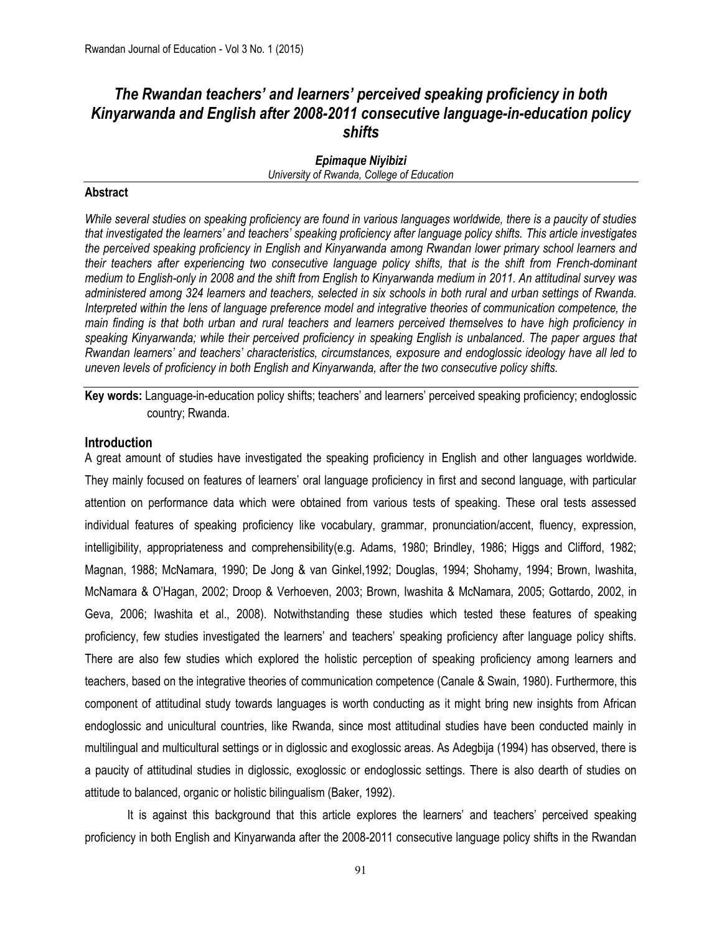# *The Rwandan teachers' and learners' perceived speaking proficiency in both Kinyarwanda and English after 2008-2011 consecutive language-in-education policy shifts*

# *Epimaque Niyibizi University of Rwanda, College of Education*

# **Abstract**

*While several studies on speaking proficiency are found in various languages worldwide, there is a paucity of studies that investigated the learners' and teachers' speaking proficiency after language policy shifts. This article investigates the perceived speaking proficiency in English and Kinyarwanda among Rwandan lower primary school learners and their teachers after experiencing two consecutive language policy shifts, that is the shift from French-dominant medium to English-only in 2008 and the shift from English to Kinyarwanda medium in 2011. An attitudinal survey was administered among 324 learners and teachers, selected in six schools in both rural and urban settings of Rwanda. Interpreted within the lens of language preference model and integrative theories of communication competence, the main finding is that both urban and rural teachers and learners perceived themselves to have high proficiency in speaking Kinyarwanda; while their perceived proficiency in speaking English is unbalanced. The paper argues that Rwandan learners' and teachers' characteristics, circumstances, exposure and endoglossic ideology have all led to uneven levels of proficiency in both English and Kinyarwanda, after the two consecutive policy shifts.*

**Key words:** Language-in-education policy shifts; teachers' and learners' perceived speaking proficiency; endoglossic country; Rwanda.

# **Introduction**

A great amount of studies have investigated the speaking proficiency in English and other languages worldwide. They mainly focused on features of learners' oral language proficiency in first and second language, with particular attention on performance data which were obtained from various tests of speaking. These oral tests assessed individual features of speaking proficiency like vocabulary, grammar, pronunciation/accent, fluency, expression, intelligibility, appropriateness and comprehensibility(e.g. Adams, 1980; Brindley, 1986; Higgs and Clifford, 1982; Magnan, 1988; McNamara, 1990; De Jong & van Ginkel,1992; Douglas, 1994; Shohamy, 1994; Brown, Iwashita, McNamara & O'Hagan, 2002; Droop & Verhoeven, 2003; Brown, Iwashita & McNamara, 2005; Gottardo, 2002, in Geva, 2006; Iwashita et al., 2008). Notwithstanding these studies which tested these features of speaking proficiency, few studies investigated the learners' and teachers' speaking proficiency after language policy shifts. There are also few studies which explored the holistic perception of speaking proficiency among learners and teachers, based on the integrative theories of communication competence (Canale & Swain, 1980). Furthermore, this component of attitudinal study towards languages is worth conducting as it might bring new insights from African endoglossic and unicultural countries, like Rwanda, since most attitudinal studies have been conducted mainly in multilingual and multicultural settings or in diglossic and exoglossic areas. As Adegbija (1994) has observed, there is a paucity of attitudinal studies in diglossic, exoglossic or endoglossic settings. There is also dearth of studies on attitude to balanced, organic or holistic bilingualism (Baker, 1992).

It is against this background that this article explores the learners' and teachers' perceived speaking proficiency in both English and Kinyarwanda after the 2008-2011 consecutive language policy shifts in the Rwandan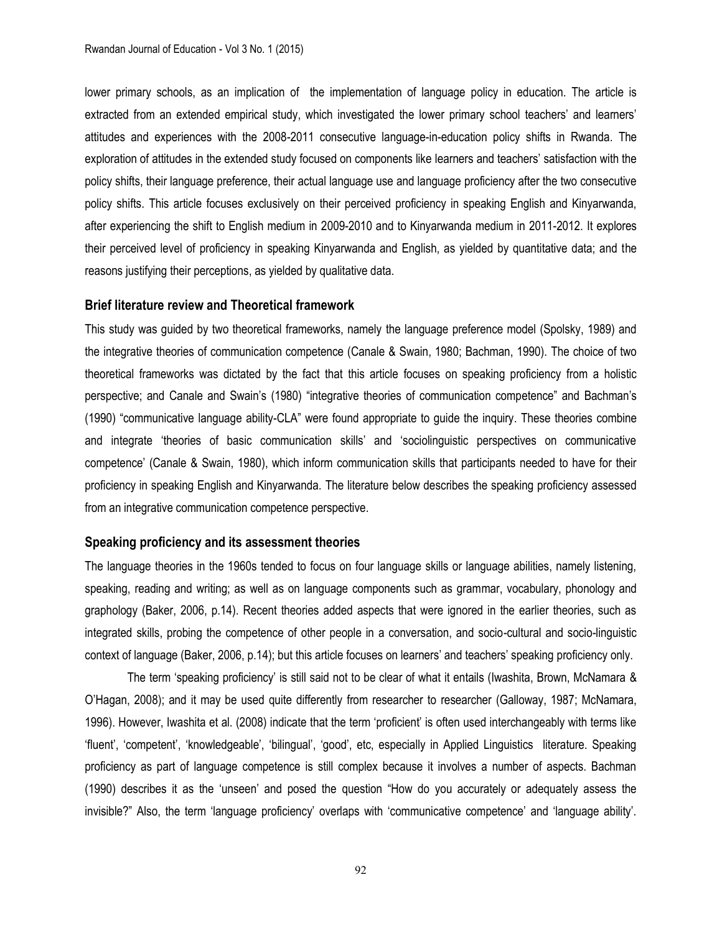lower primary schools, as an implication of the implementation of language policy in education. The article is extracted from an extended empirical study, which investigated the lower primary school teachers' and learners' attitudes and experiences with the 2008-2011 consecutive language-in-education policy shifts in Rwanda. The exploration of attitudes in the extended study focused on components like learners and teachers' satisfaction with the policy shifts, their language preference, their actual language use and language proficiency after the two consecutive policy shifts. This article focuses exclusively on their perceived proficiency in speaking English and Kinyarwanda, after experiencing the shift to English medium in 2009-2010 and to Kinyarwanda medium in 2011-2012. It explores their perceived level of proficiency in speaking Kinyarwanda and English, as yielded by quantitative data; and the reasons justifying their perceptions, as yielded by qualitative data.

### **Brief literature review and Theoretical framework**

This study was guided by two theoretical frameworks, namely the language preference model (Spolsky, 1989) and the integrative theories of communication competence (Canale & Swain, 1980; Bachman, 1990). The choice of two theoretical frameworks was dictated by the fact that this article focuses on speaking proficiency from a holistic perspective; and Canale and Swain's (1980) "integrative theories of communication competence" and Bachman's (1990) "communicative language ability-CLA" were found appropriate to guide the inquiry. These theories combine and integrate 'theories of basic communication skills' and 'sociolinguistic perspectives on communicative competence' (Canale & Swain, 1980), which inform communication skills that participants needed to have for their proficiency in speaking English and Kinyarwanda. The literature below describes the speaking proficiency assessed from an integrative communication competence perspective.

#### **Speaking proficiency and its assessment theories**

The language theories in the 1960s tended to focus on four language skills or language abilities, namely listening, speaking, reading and writing; as well as on language components such as grammar, vocabulary, phonology and graphology (Baker, 2006, p.14). Recent theories added aspects that were ignored in the earlier theories, such as integrated skills, probing the competence of other people in a conversation, and socio-cultural and socio-linguistic context of language (Baker, 2006, p.14); but this article focuses on learners' and teachers' speaking proficiency only.

The term 'speaking proficiency' is still said not to be clear of what it entails (Iwashita, Brown, McNamara & O'Hagan, 2008); and it may be used quite differently from researcher to researcher (Galloway, 1987; McNamara, 1996). However, Iwashita et al. (2008) indicate that the term 'proficient' is often used interchangeably with terms like 'fluent', 'competent', 'knowledgeable', 'bilingual', 'good', etc, especially in Applied Linguistics literature. Speaking proficiency as part of language competence is still complex because it involves a number of aspects. Bachman (1990) describes it as the 'unseen' and posed the question "How do you accurately or adequately assess the invisible?" Also, the term 'language proficiency' overlaps with 'communicative competence' and 'language ability'.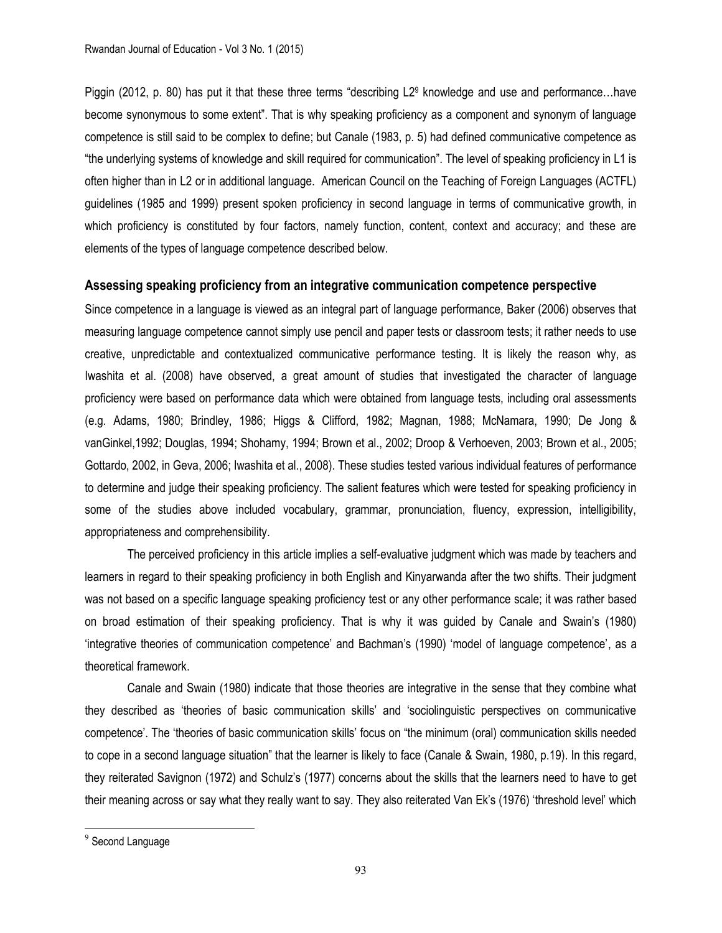Piggin (2012, p. 80) has put it that these three terms "describing L2<sup>9</sup> knowledge and use and performance…have become synonymous to some extent". That is why speaking proficiency as a component and synonym of language competence is still said to be complex to define; but Canale (1983, p. 5) had defined communicative competence as "the underlying systems of knowledge and skill required for communication". The level of speaking proficiency in L1 is often higher than in L2 or in additional language. American Council on the Teaching of Foreign Languages (ACTFL) guidelines (1985 and 1999) present spoken proficiency in second language in terms of communicative growth, in which proficiency is constituted by four factors, namely function, content, context and accuracy; and these are elements of the types of language competence described below.

# **Assessing speaking proficiency from an integrative communication competence perspective**

Since competence in a language is viewed as an integral part of language performance, Baker (2006) observes that measuring language competence cannot simply use pencil and paper tests or classroom tests; it rather needs to use creative, unpredictable and contextualized communicative performance testing. It is likely the reason why, as Iwashita et al. (2008) have observed, a great amount of studies that investigated the character of language proficiency were based on performance data which were obtained from language tests, including oral assessments (e.g. Adams, 1980; Brindley, 1986; Higgs & Clifford, 1982; Magnan, 1988; McNamara, 1990; De Jong & vanGinkel,1992; Douglas, 1994; Shohamy, 1994; Brown et al., 2002; Droop & Verhoeven, 2003; Brown et al., 2005; Gottardo, 2002, in Geva, 2006; Iwashita et al., 2008). These studies tested various individual features of performance to determine and judge their speaking proficiency. The salient features which were tested for speaking proficiency in some of the studies above included vocabulary, grammar, pronunciation, fluency, expression, intelligibility, appropriateness and comprehensibility.

The perceived proficiency in this article implies a self-evaluative judgment which was made by teachers and learners in regard to their speaking proficiency in both English and Kinyarwanda after the two shifts. Their judgment was not based on a specific language speaking proficiency test or any other performance scale; it was rather based on broad estimation of their speaking proficiency. That is why it was guided by Canale and Swain's (1980) 'integrative theories of communication competence' and Bachman's (1990) 'model of language competence', as a theoretical framework.

Canale and Swain (1980) indicate that those theories are integrative in the sense that they combine what they described as 'theories of basic communication skills' and 'sociolinguistic perspectives on communicative competence'. The 'theories of basic communication skills' focus on "the minimum (oral) communication skills needed to cope in a second language situation" that the learner is likely to face (Canale & Swain, 1980, p.19). In this regard, they reiterated Savignon (1972) and Schulz's (1977) concerns about the skills that the learners need to have to get their meaning across or say what they really want to say. They also reiterated Van Ek's (1976) 'threshold level' which

 $\overline{\phantom{a}}$ 

<sup>&</sup>lt;sup>9</sup> Second Language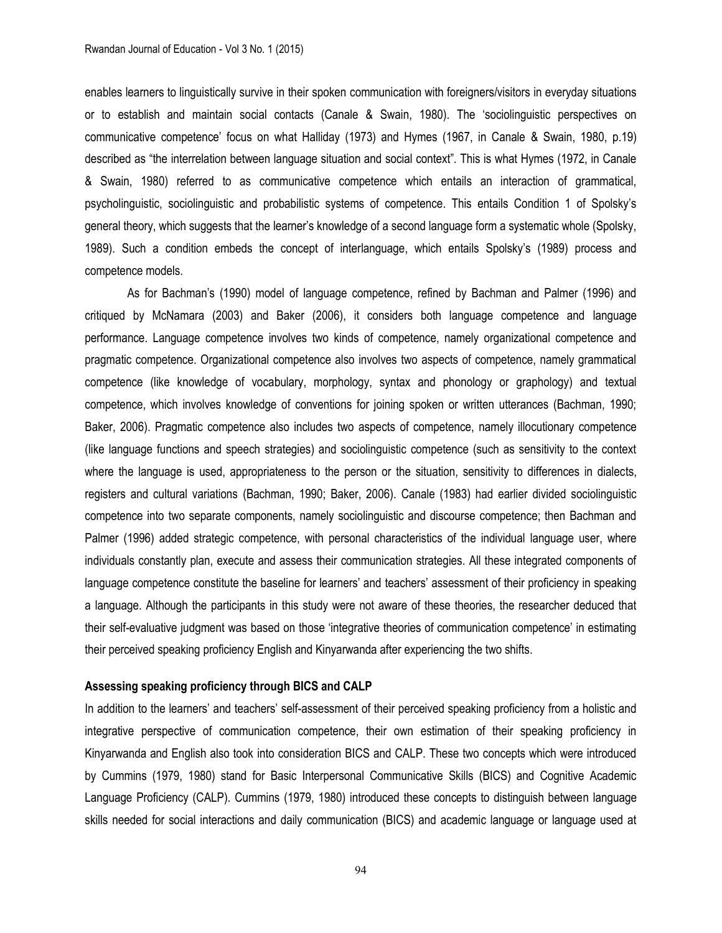enables learners to linguistically survive in their spoken communication with foreigners/visitors in everyday situations or to establish and maintain social contacts (Canale & Swain, 1980). The 'sociolinguistic perspectives on communicative competence' focus on what Halliday (1973) and Hymes (1967, in Canale & Swain, 1980, p.19) described as "the interrelation between language situation and social context". This is what Hymes (1972, in Canale & Swain, 1980) referred to as communicative competence which entails an interaction of grammatical, psycholinguistic, sociolinguistic and probabilistic systems of competence. This entails Condition 1 of Spolsky's general theory, which suggests that the learner's knowledge of a second language form a systematic whole (Spolsky, 1989). Such a condition embeds the concept of interlanguage, which entails Spolsky's (1989) process and competence models.

As for Bachman's (1990) model of language competence, refined by Bachman and Palmer (1996) and critiqued by McNamara (2003) and Baker (2006), it considers both language competence and language performance. Language competence involves two kinds of competence, namely organizational competence and pragmatic competence. Organizational competence also involves two aspects of competence, namely grammatical competence (like knowledge of vocabulary, morphology, syntax and phonology or graphology) and textual competence, which involves knowledge of conventions for joining spoken or written utterances (Bachman, 1990; Baker, 2006). Pragmatic competence also includes two aspects of competence, namely illocutionary competence (like language functions and speech strategies) and sociolinguistic competence (such as sensitivity to the context where the language is used, appropriateness to the person or the situation, sensitivity to differences in dialects, registers and cultural variations (Bachman, 1990; Baker, 2006). Canale (1983) had earlier divided sociolinguistic competence into two separate components, namely sociolinguistic and discourse competence; then Bachman and Palmer (1996) added strategic competence, with personal characteristics of the individual language user, where individuals constantly plan, execute and assess their communication strategies. All these integrated components of language competence constitute the baseline for learners' and teachers' assessment of their proficiency in speaking a language. Although the participants in this study were not aware of these theories, the researcher deduced that their self-evaluative judgment was based on those 'integrative theories of communication competence' in estimating their perceived speaking proficiency English and Kinyarwanda after experiencing the two shifts.

### **Assessing speaking proficiency through BICS and CALP**

In addition to the learners' and teachers' self-assessment of their perceived speaking proficiency from a holistic and integrative perspective of communication competence, their own estimation of their speaking proficiency in Kinyarwanda and English also took into consideration BICS and CALP. These two concepts which were introduced by Cummins (1979, 1980) stand for Basic Interpersonal Communicative Skills (BICS) and Cognitive Academic Language Proficiency (CALP). Cummins (1979, 1980) introduced these concepts to distinguish between language skills needed for social interactions and daily communication (BICS) and academic language or language used at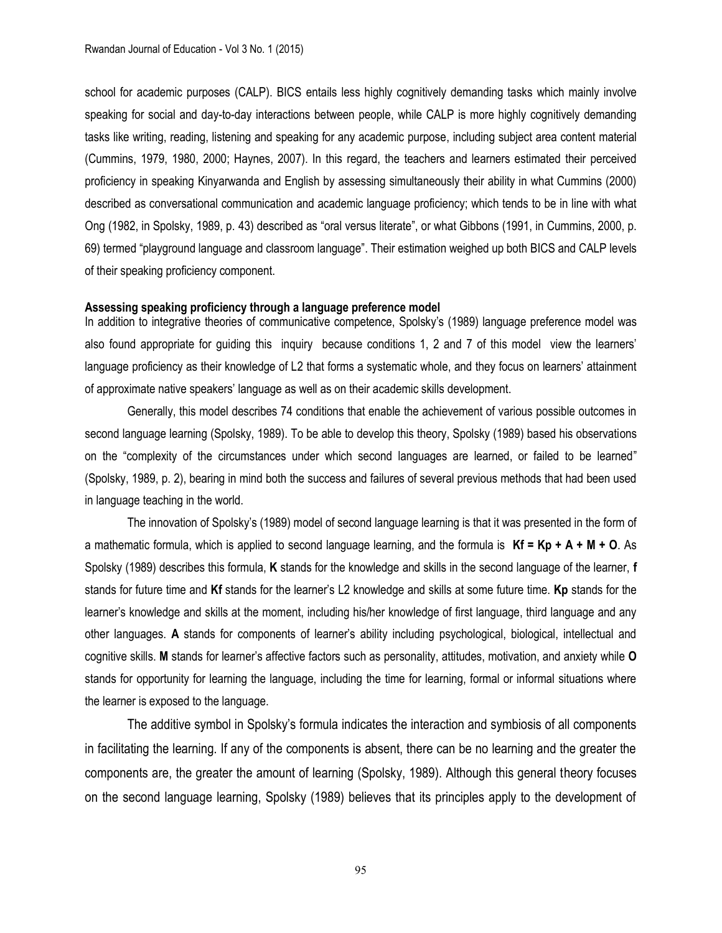school for academic purposes (CALP). BICS entails less highly cognitively demanding tasks which mainly involve speaking for social and day-to-day interactions between people, while CALP is more highly cognitively demanding tasks like writing, reading, listening and speaking for any academic purpose, including subject area content material (Cummins, 1979, 1980, 2000; Haynes, 2007). In this regard, the teachers and learners estimated their perceived proficiency in speaking Kinyarwanda and English by assessing simultaneously their ability in what Cummins (2000) described as conversational communication and academic language proficiency; which tends to be in line with what Ong (1982, in Spolsky, 1989, p. 43) described as "oral versus literate", or what Gibbons (1991, in Cummins, 2000, p. 69) termed "playground language and classroom language". Their estimation weighed up both BICS and CALP levels of their speaking proficiency component.

### **Assessing speaking proficiency through a language preference model**

In addition to integrative theories of communicative competence, Spolsky's (1989) language preference model was also found appropriate for guiding this inquiry because conditions 1, 2 and 7 of this model view the learners' language proficiency as their knowledge of L2 that forms a systematic whole, and they focus on learners' attainment of approximate native speakers' language as well as on their academic skills development.

Generally, this model describes 74 conditions that enable the achievement of various possible outcomes in second language learning (Spolsky, 1989). To be able to develop this theory, Spolsky (1989) based his observations on the "complexity of the circumstances under which second languages are learned, or failed to be learned" (Spolsky, 1989, p. 2), bearing in mind both the success and failures of several previous methods that had been used in language teaching in the world.

The innovation of Spolsky's (1989) model of second language learning is that it was presented in the form of a mathematic formula, which is applied to second language learning, and the formula is **Kf = Kp + A + M + O**. As Spolsky (1989) describes this formula, **K** stands for the knowledge and skills in the second language of the learner, **f** stands for future time and **Kf** stands for the learner's L2 knowledge and skills at some future time. **Kp** stands for the learner's knowledge and skills at the moment, including his/her knowledge of first language, third language and any other languages. **A** stands for components of learner's ability including psychological, biological, intellectual and cognitive skills. **M** stands for learner's affective factors such as personality, attitudes, motivation, and anxiety while **O** stands for opportunity for learning the language, including the time for learning, formal or informal situations where the learner is exposed to the language.

The additive symbol in Spolsky's formula indicates the interaction and symbiosis of all components in facilitating the learning. If any of the components is absent, there can be no learning and the greater the components are, the greater the amount of learning (Spolsky, 1989). Although this general theory focuses on the second language learning, Spolsky (1989) believes that its principles apply to the development of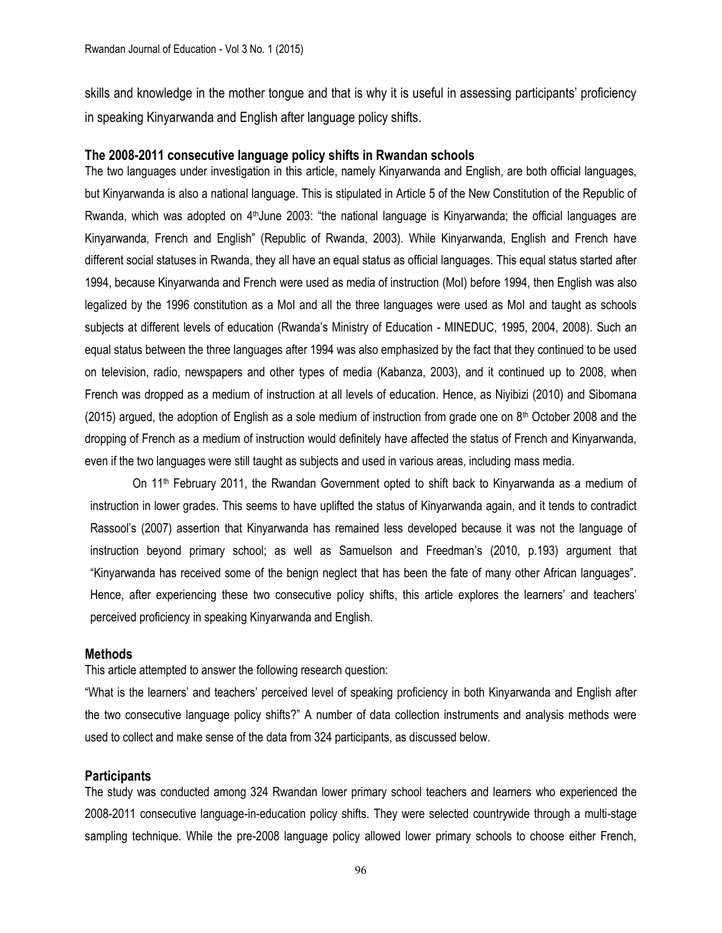skills and knowledge in the mother tongue and that is why it is useful in assessing participants' proficiency in speaking Kinyarwanda and English after language policy shifts.

# **The 2008-2011 consecutive language policy shifts in Rwandan schools**

The two languages under investigation in this article, namely Kinyarwanda and English, are both official languages, but Kinyarwanda is also a national language. This is stipulated in Article 5 of the New Constitution of the Republic of Rwanda, which was adopted on 4<sup>th</sup>June 2003: "the national language is Kinyarwanda; the official languages are Kinyarwanda, French and English" (Republic of Rwanda, 2003). While Kinyarwanda, English and French have different social statuses in Rwanda, they all have an equal status as official languages. This equal status started after 1994, because Kinyarwanda and French were used as media of instruction (MoI) before 1994, then English was also legalized by the 1996 constitution as a MoI and all the three languages were used as MoI and taught as schools subjects at different levels of education (Rwanda's Ministry of Education - MINEDUC, 1995, 2004, 2008). Such an equal status between the three languages after 1994 was also emphasized by the fact that they continued to be used on television, radio, newspapers and other types of media (Kabanza, 2003), and it continued up to 2008, when French was dropped as a medium of instruction at all levels of education. Hence, as Niyibizi (2010) and Sibomana (2015) argued, the adoption of English as a sole medium of instruction from grade one on  $8<sup>th</sup>$  October 2008 and the dropping of French as a medium of instruction would definitely have affected the status of French and Kinyarwanda, even if the two languages were still taught as subjects and used in various areas, including mass media.

On 11th February 2011, the Rwandan Government opted to shift back to Kinyarwanda as a medium of instruction in lower grades. This seems to have uplifted the status of Kinyarwanda again, and it tends to contradict Rassool's (2007) assertion that Kinyarwanda has remained less developed because it was not the language of instruction beyond primary school; as well as Samuelson and Freedman's (2010, p.193) argument that "Kinyarwanda has received some of the benign neglect that has been the fate of many other African languages". Hence, after experiencing these two consecutive policy shifts, this article explores the learners' and teachers' perceived proficiency in speaking Kinyarwanda and English.

# **Methods**

This article attempted to answer the following research question:

"What is the learners' and teachers' perceived level of speaking proficiency in both Kinyarwanda and English after the two consecutive language policy shifts?" A number of data collection instruments and analysis methods were used to collect and make sense of the data from 324 participants, as discussed below.

# **Participants**

The study was conducted among 324 Rwandan lower primary school teachers and learners who experienced the 2008-2011 consecutive language-in-education policy shifts. They were selected countrywide through a multi-stage sampling technique. While the pre-2008 language policy allowed lower primary schools to choose either French,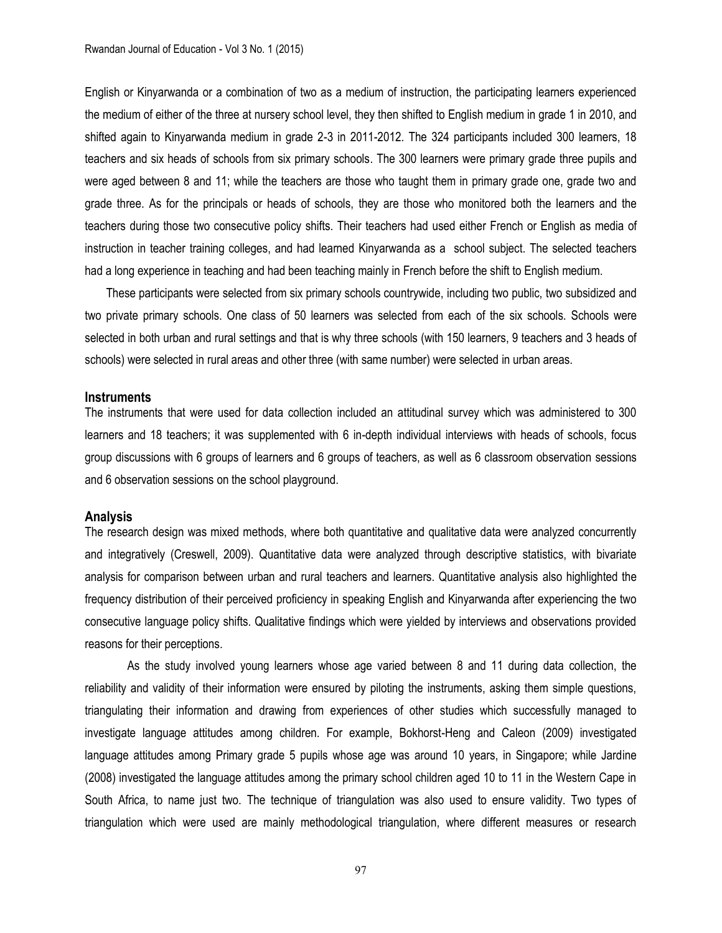English or Kinyarwanda or a combination of two as a medium of instruction, the participating learners experienced the medium of either of the three at nursery school level, they then shifted to English medium in grade 1 in 2010, and shifted again to Kinyarwanda medium in grade 2-3 in 2011-2012. The 324 participants included 300 learners, 18 teachers and six heads of schools from six primary schools. The 300 learners were primary grade three pupils and were aged between 8 and 11; while the teachers are those who taught them in primary grade one, grade two and grade three. As for the principals or heads of schools, they are those who monitored both the learners and the teachers during those two consecutive policy shifts. Their teachers had used either French or English as media of instruction in teacher training colleges, and had learned Kinyarwanda as a school subject. The selected teachers had a long experience in teaching and had been teaching mainly in French before the shift to English medium.

These participants were selected from six primary schools countrywide, including two public, two subsidized and two private primary schools. One class of 50 learners was selected from each of the six schools. Schools were selected in both urban and rural settings and that is why three schools (with 150 learners, 9 teachers and 3 heads of schools) were selected in rural areas and other three (with same number) were selected in urban areas.

#### **Instruments**

The instruments that were used for data collection included an attitudinal survey which was administered to 300 learners and 18 teachers; it was supplemented with 6 in-depth individual interviews with heads of schools, focus group discussions with 6 groups of learners and 6 groups of teachers, as well as 6 classroom observation sessions and 6 observation sessions on the school playground.

#### **Analysis**

The research design was mixed methods, where both quantitative and qualitative data were analyzed concurrently and integratively (Creswell, 2009). Quantitative data were analyzed through descriptive statistics, with bivariate analysis for comparison between urban and rural teachers and learners. Quantitative analysis also highlighted the frequency distribution of their perceived proficiency in speaking English and Kinyarwanda after experiencing the two consecutive language policy shifts. Qualitative findings which were yielded by interviews and observations provided reasons for their perceptions.

As the study involved young learners whose age varied between 8 and 11 during data collection, the reliability and validity of their information were ensured by piloting the instruments, asking them simple questions, triangulating their information and drawing from experiences of other studies which successfully managed to investigate language attitudes among children. For example, Bokhorst-Heng and Caleon (2009) investigated language attitudes among Primary grade 5 pupils whose age was around 10 years, in Singapore; while Jardine (2008) investigated the language attitudes among the primary school children aged 10 to 11 in the Western Cape in South Africa, to name just two. The technique of triangulation was also used to ensure validity. Two types of triangulation which were used are mainly methodological triangulation, where different measures or research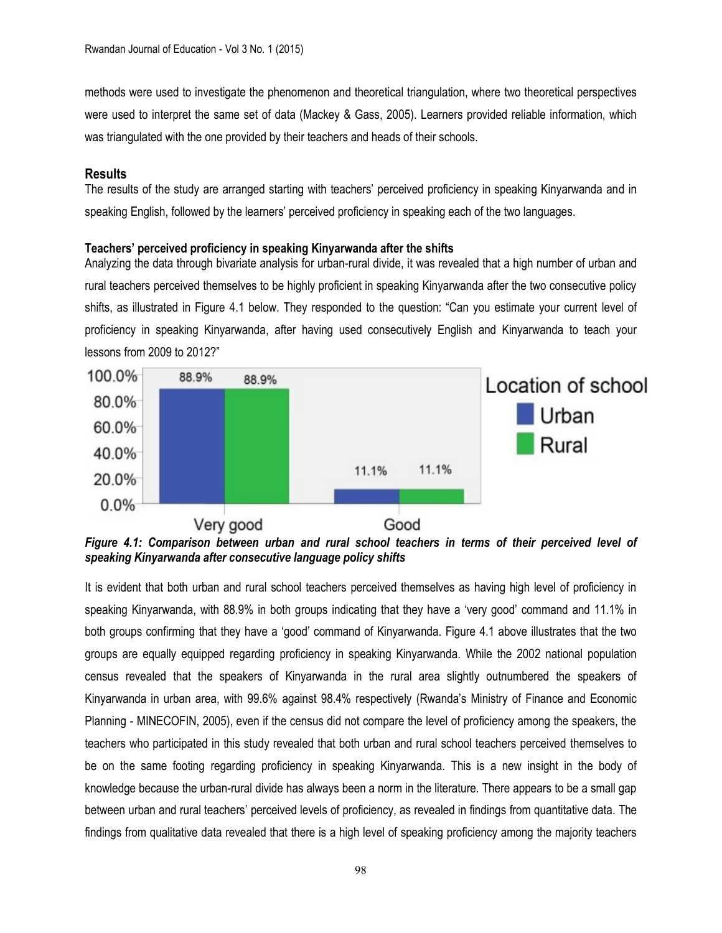methods were used to investigate the phenomenon and theoretical triangulation, where two theoretical perspectives were used to interpret the same set of data (Mackey & Gass, 2005). Learners provided reliable information, which was triangulated with the one provided by their teachers and heads of their schools.

# **Results**

The results of the study are arranged starting with teachers' perceived proficiency in speaking Kinyarwanda and in speaking English, followed by the learners' perceived proficiency in speaking each of the two languages.

# **Teachers' perceived proficiency in speaking Kinyarwanda after the shifts**

Analyzing the data through bivariate analysis for urban-rural divide, it was revealed that a high number of urban and rural teachers perceived themselves to be highly proficient in speaking Kinyarwanda after the two consecutive policy shifts, as illustrated in Figure 4.1 below. They responded to the question: "Can you estimate your current level of proficiency in speaking Kinyarwanda, after having used consecutively English and Kinyarwanda to teach your lessons from 2009 to 2012?"



*Figure 4.1: Comparison between urban and rural school teachers in terms of their perceived level of speaking Kinyarwanda after consecutive language policy shifts*

It is evident that both urban and rural school teachers perceived themselves as having high level of proficiency in speaking Kinyarwanda, with 88.9% in both groups indicating that they have a 'very good' command and 11.1% in both groups confirming that they have a 'good' command of Kinyarwanda. Figure 4.1 above illustrates that the two groups are equally equipped regarding proficiency in speaking Kinyarwanda. While the 2002 national population census revealed that the speakers of Kinyarwanda in the rural area slightly outnumbered the speakers of Kinyarwanda in urban area, with 99.6% against 98.4% respectively (Rwanda's Ministry of Finance and Economic Planning - MINECOFIN, 2005), even if the census did not compare the level of proficiency among the speakers, the teachers who participated in this study revealed that both urban and rural school teachers perceived themselves to be on the same footing regarding proficiency in speaking Kinyarwanda. This is a new insight in the body of knowledge because the urban-rural divide has always been a norm in the literature. There appears to be a small gap between urban and rural teachers' perceived levels of proficiency, as revealed in findings from quantitative data. The findings from qualitative data revealed that there is a high level of speaking proficiency among the majority teachers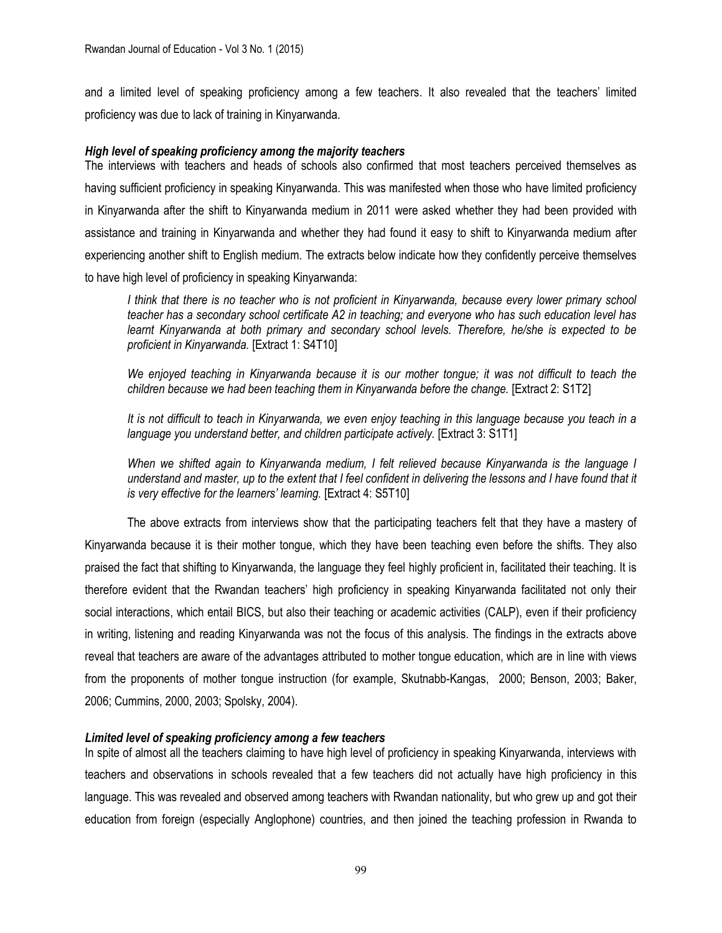and a limited level of speaking proficiency among a few teachers. It also revealed that the teachers' limited proficiency was due to lack of training in Kinyarwanda.

# *High level of speaking proficiency among the majority teachers*

The interviews with teachers and heads of schools also confirmed that most teachers perceived themselves as having sufficient proficiency in speaking Kinyarwanda. This was manifested when those who have limited proficiency in Kinyarwanda after the shift to Kinyarwanda medium in 2011 were asked whether they had been provided with assistance and training in Kinyarwanda and whether they had found it easy to shift to Kinyarwanda medium after experiencing another shift to English medium. The extracts below indicate how they confidently perceive themselves to have high level of proficiency in speaking Kinyarwanda:

*I think that there is no teacher who is not proficient in Kinyarwanda, because every lower primary school teacher has a secondary school certificate A2 in teaching; and everyone who has such education level has*  learnt Kinyarwanda at both primary and secondary school levels. Therefore, he/she is expected to be *proficient in Kinyarwanda.* [Extract 1: S4T10]

*We enjoyed teaching in Kinyarwanda because it is our mother tongue; it was not difficult to teach the children because we had been teaching them in Kinyarwanda before the change.* [Extract 2: S1T2]

*It is not difficult to teach in Kinyarwanda, we even enjoy teaching in this language because you teach in a language you understand better, and children participate actively.* [Extract 3: S1T1]

*When we shifted again to Kinyarwanda medium, I felt relieved because Kinyarwanda is the language I understand and master, up to the extent that I feel confident in delivering the lessons and I have found that it is very effective for the learners' learning.* [Extract 4: S5T10]

The above extracts from interviews show that the participating teachers felt that they have a mastery of Kinyarwanda because it is their mother tongue, which they have been teaching even before the shifts. They also praised the fact that shifting to Kinyarwanda, the language they feel highly proficient in, facilitated their teaching. It is therefore evident that the Rwandan teachers' high proficiency in speaking Kinyarwanda facilitated not only their social interactions, which entail BICS, but also their teaching or academic activities (CALP), even if their proficiency in writing, listening and reading Kinyarwanda was not the focus of this analysis. The findings in the extracts above reveal that teachers are aware of the advantages attributed to mother tongue education, which are in line with views from the proponents of mother tongue instruction (for example, Skutnabb-Kangas, 2000; Benson, 2003; Baker, 2006; Cummins, 2000, 2003; Spolsky, 2004).

# *Limited level of speaking proficiency among a few teachers*

In spite of almost all the teachers claiming to have high level of proficiency in speaking Kinyarwanda, interviews with teachers and observations in schools revealed that a few teachers did not actually have high proficiency in this language. This was revealed and observed among teachers with Rwandan nationality, but who grew up and got their education from foreign (especially Anglophone) countries, and then joined the teaching profession in Rwanda to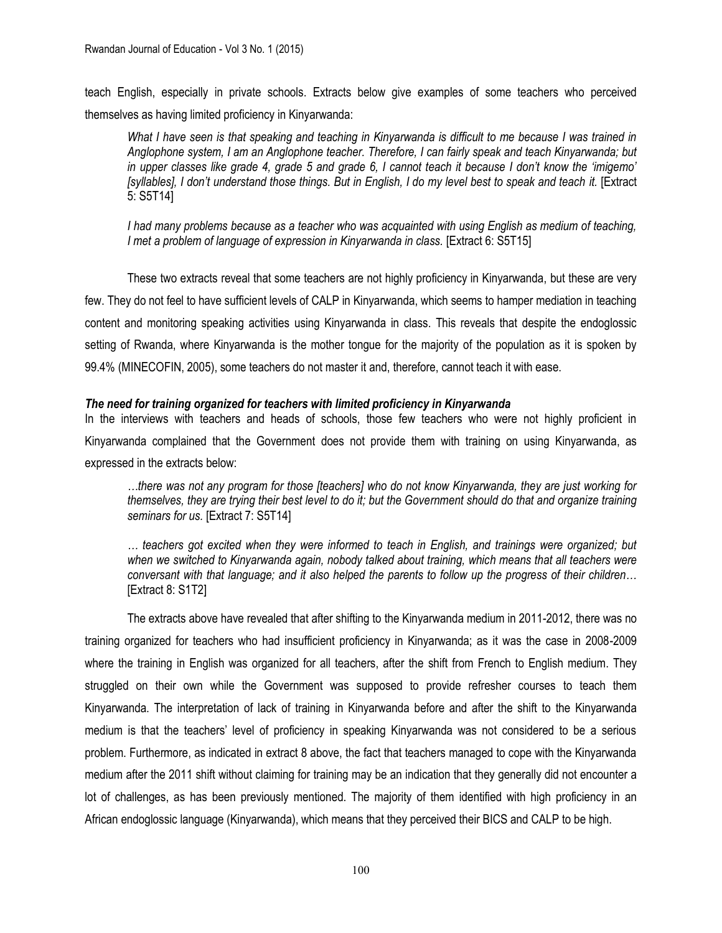teach English, especially in private schools. Extracts below give examples of some teachers who perceived themselves as having limited proficiency in Kinyarwanda:

*What I have seen is that speaking and teaching in Kinyarwanda is difficult to me because I was trained in Anglophone system, I am an Anglophone teacher. Therefore, I can fairly speak and teach Kinyarwanda; but in upper classes like grade 4, grade 5 and grade 6, I cannot teach it because I don't know the 'imigemo' [syllables], I don't understand those things. But in English, I do my level best to speak and teach it.* [Extract 5: S5T14]

*I had many problems because as a teacher who was acquainted with using English as medium of teaching, I met a problem of language of expression in Kinyarwanda in class.* [Extract 6: S5T15]

These two extracts reveal that some teachers are not highly proficiency in Kinyarwanda, but these are very few. They do not feel to have sufficient levels of CALP in Kinyarwanda, which seems to hamper mediation in teaching content and monitoring speaking activities using Kinyarwanda in class. This reveals that despite the endoglossic setting of Rwanda, where Kinyarwanda is the mother tongue for the majority of the population as it is spoken by 99.4% (MINECOFIN, 2005), some teachers do not master it and, therefore, cannot teach it with ease.

# *The need for training organized for teachers with limited proficiency in Kinyarwanda*

In the interviews with teachers and heads of schools, those few teachers who were not highly proficient in Kinyarwanda complained that the Government does not provide them with training on using Kinyarwanda, as expressed in the extracts below:

*…there was not any program for those [teachers] who do not know Kinyarwanda, they are just working for themselves, they are trying their best level to do it; but the Government should do that and organize training seminars for us.* [Extract 7: S5T14]

*… teachers got excited when they were informed to teach in English, and trainings were organized; but when we switched to Kinyarwanda again, nobody talked about training, which means that all teachers were conversant with that language; and it also helped the parents to follow up the progress of their children…* [Extract 8: S1T2]

The extracts above have revealed that after shifting to the Kinyarwanda medium in 2011-2012, there was no training organized for teachers who had insufficient proficiency in Kinyarwanda; as it was the case in 2008-2009 where the training in English was organized for all teachers, after the shift from French to English medium. They struggled on their own while the Government was supposed to provide refresher courses to teach them Kinyarwanda. The interpretation of lack of training in Kinyarwanda before and after the shift to the Kinyarwanda medium is that the teachers' level of proficiency in speaking Kinyarwanda was not considered to be a serious problem. Furthermore, as indicated in extract 8 above, the fact that teachers managed to cope with the Kinyarwanda medium after the 2011 shift without claiming for training may be an indication that they generally did not encounter a lot of challenges, as has been previously mentioned. The majority of them identified with high proficiency in an African endoglossic language (Kinyarwanda), which means that they perceived their BICS and CALP to be high.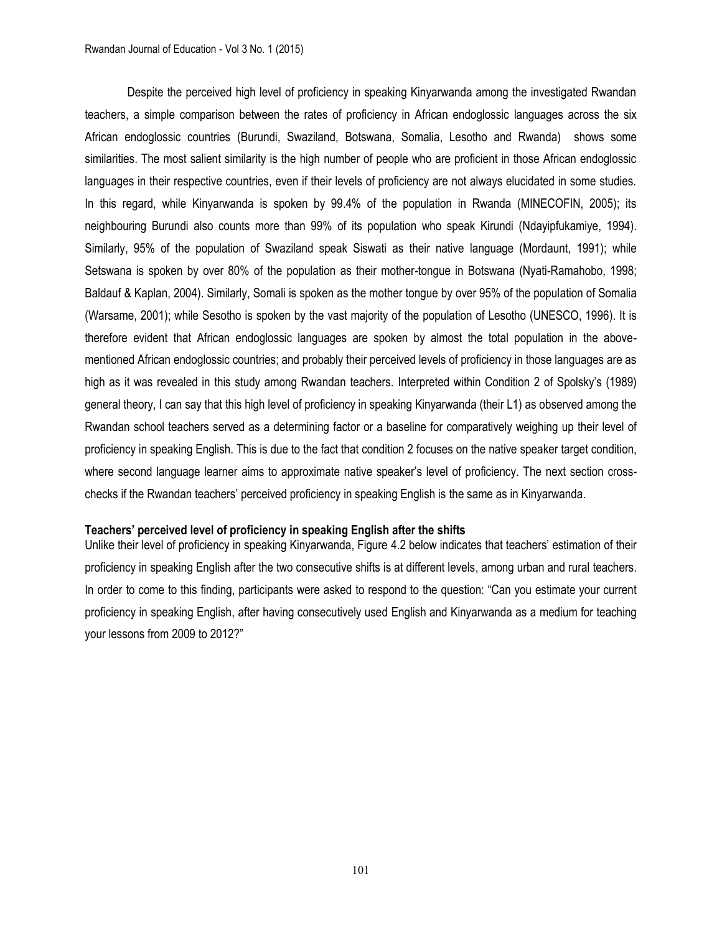Despite the perceived high level of proficiency in speaking Kinyarwanda among the investigated Rwandan teachers, a simple comparison between the rates of proficiency in African endoglossic languages across the six African endoglossic countries (Burundi, Swaziland, Botswana, Somalia, Lesotho and Rwanda) shows some similarities. The most salient similarity is the high number of people who are proficient in those African endoglossic languages in their respective countries, even if their levels of proficiency are not always elucidated in some studies. In this regard, while Kinyarwanda is spoken by 99.4% of the population in Rwanda (MINECOFIN, 2005); its neighbouring Burundi also counts more than 99% of its population who speak Kirundi (Ndayipfukamiye, 1994). Similarly, 95% of the population of Swaziland speak Siswati as their native language (Mordaunt, 1991); while Setswana is spoken by over 80% of the population as their mother-tongue in Botswana (Nyati-Ramahobo, 1998; Baldauf & Kaplan, 2004). Similarly, Somali is spoken as the mother tongue by over 95% of the population of Somalia (Warsame, 2001); while Sesotho is spoken by the vast majority of the population of Lesotho (UNESCO, 1996). It is therefore evident that African endoglossic languages are spoken by almost the total population in the abovementioned African endoglossic countries; and probably their perceived levels of proficiency in those languages are as high as it was revealed in this study among Rwandan teachers. Interpreted within Condition 2 of Spolsky's (1989) general theory, I can say that this high level of proficiency in speaking Kinyarwanda (their L1) as observed among the Rwandan school teachers served as a determining factor or a baseline for comparatively weighing up their level of proficiency in speaking English. This is due to the fact that condition 2 focuses on the native speaker target condition, where second language learner aims to approximate native speaker's level of proficiency. The next section crosschecks if the Rwandan teachers' perceived proficiency in speaking English is the same as in Kinyarwanda.

### **Teachers' perceived level of proficiency in speaking English after the shifts**

Unlike their level of proficiency in speaking Kinyarwanda, Figure 4.2 below indicates that teachers' estimation of their proficiency in speaking English after the two consecutive shifts is at different levels, among urban and rural teachers. In order to come to this finding, participants were asked to respond to the question: "Can you estimate your current proficiency in speaking English, after having consecutively used English and Kinyarwanda as a medium for teaching your lessons from 2009 to 2012?"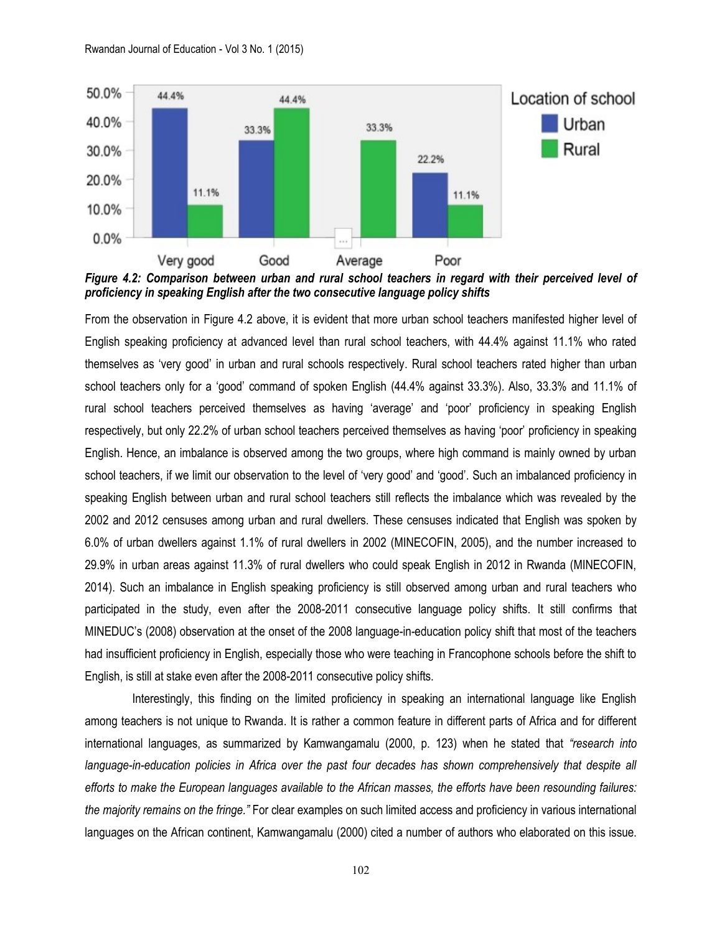

*Figure 4.2: Comparison between urban and rural school teachers in regard with their perceived level of proficiency in speaking English after the two consecutive language policy shifts*

From the observation in Figure 4.2 above, it is evident that more urban school teachers manifested higher level of English speaking proficiency at advanced level than rural school teachers, with 44.4% against 11.1% who rated themselves as 'very good' in urban and rural schools respectively. Rural school teachers rated higher than urban school teachers only for a 'good' command of spoken English (44.4% against 33.3%). Also, 33.3% and 11.1% of rural school teachers perceived themselves as having 'average' and 'poor' proficiency in speaking English respectively, but only 22.2% of urban school teachers perceived themselves as having 'poor' proficiency in speaking English. Hence, an imbalance is observed among the two groups, where high command is mainly owned by urban school teachers, if we limit our observation to the level of 'very good' and 'good'. Such an imbalanced proficiency in speaking English between urban and rural school teachers still reflects the imbalance which was revealed by the 2002 and 2012 censuses among urban and rural dwellers. These censuses indicated that English was spoken by 6.0% of urban dwellers against 1.1% of rural dwellers in 2002 (MINECOFIN, 2005), and the number increased to 29.9% in urban areas against 11.3% of rural dwellers who could speak English in 2012 in Rwanda (MINECOFIN, 2014). Such an imbalance in English speaking proficiency is still observed among urban and rural teachers who participated in the study, even after the 2008-2011 consecutive language policy shifts. It still confirms that MINEDUC's (2008) observation at the onset of the 2008 language-in-education policy shift that most of the teachers had insufficient proficiency in English, especially those who were teaching in Francophone schools before the shift to English, is still at stake even after the 2008-2011 consecutive policy shifts.

 Interestingly, this finding on the limited proficiency in speaking an international language like English among teachers is not unique to Rwanda. It is rather a common feature in different parts of Africa and for different international languages, as summarized by Kamwangamalu (2000, p. 123) when he stated that *"research into language-in-education policies in Africa over the past four decades has shown comprehensively that despite all efforts to make the European languages available to the African masses, the efforts have been resounding failures: the majority remains on the fringe."* For clear examples on such limited access and proficiency in various international languages on the African continent, Kamwangamalu (2000) cited a number of authors who elaborated on this issue.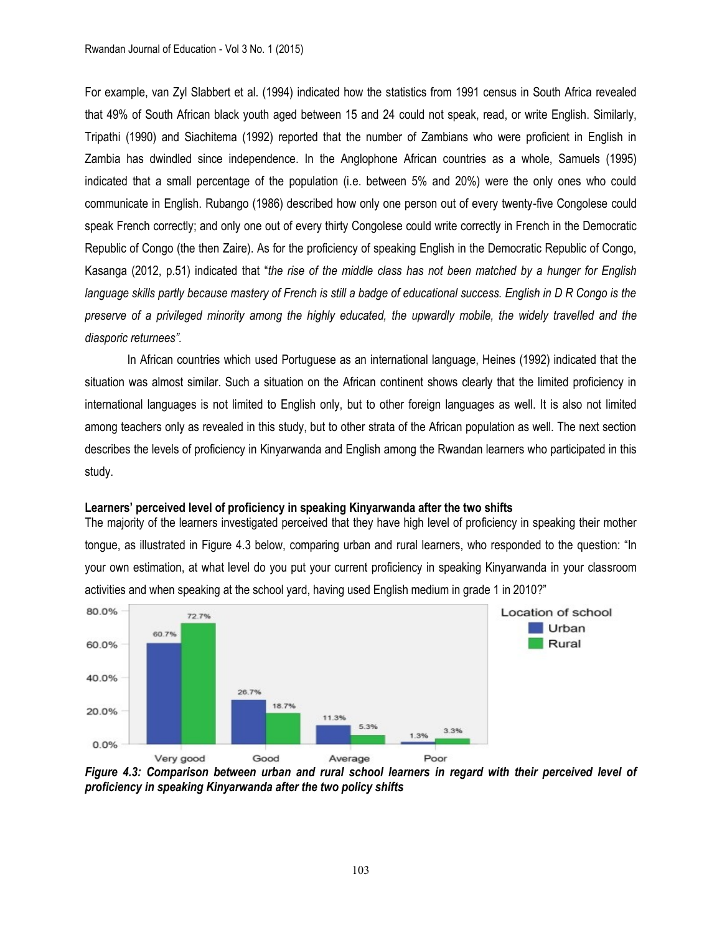For example, van Zyl Slabbert et al. (1994) indicated how the statistics from 1991 census in South Africa revealed that 49% of South African black youth aged between 15 and 24 could not speak, read, or write English. Similarly, Tripathi (1990) and Siachitema (1992) reported that the number of Zambians who were proficient in English in Zambia has dwindled since independence. In the Anglophone African countries as a whole, Samuels (1995) indicated that a small percentage of the population (i.e. between 5% and 20%) were the only ones who could communicate in English. Rubango (1986) described how only one person out of every twenty-five Congolese could speak French correctly; and only one out of every thirty Congolese could write correctly in French in the Democratic Republic of Congo (the then Zaire). As for the proficiency of speaking English in the Democratic Republic of Congo, Kasanga (2012, p.51) indicated that "*the rise of the middle class has not been matched by a hunger for English*  language skills partly because mastery of French is still a badge of educational success. English in D R Congo is the *preserve of a privileged minority among the highly educated, the upwardly mobile, the widely travelled and the diasporic returnees".*

In African countries which used Portuguese as an international language, Heines (1992) indicated that the situation was almost similar. Such a situation on the African continent shows clearly that the limited proficiency in international languages is not limited to English only, but to other foreign languages as well. It is also not limited among teachers only as revealed in this study, but to other strata of the African population as well. The next section describes the levels of proficiency in Kinyarwanda and English among the Rwandan learners who participated in this study.

### **Learners' perceived level of proficiency in speaking Kinyarwanda after the two shifts**

The majority of the learners investigated perceived that they have high level of proficiency in speaking their mother tongue, as illustrated in Figure 4.3 below, comparing urban and rural learners, who responded to the question: "In your own estimation, at what level do you put your current proficiency in speaking Kinyarwanda in your classroom activities and when speaking at the school yard, having used English medium in grade 1 in 2010?"



*Figure 4.3: Comparison between urban and rural school learners in regard with their perceived level of proficiency in speaking Kinyarwanda after the two policy shifts*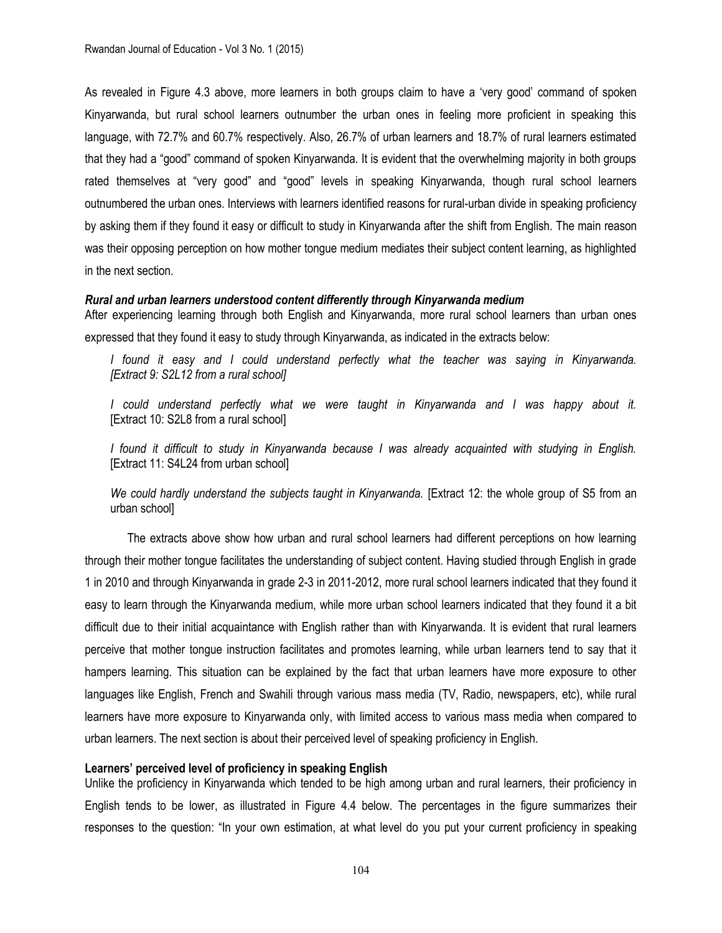As revealed in Figure 4.3 above, more learners in both groups claim to have a 'very good' command of spoken Kinyarwanda, but rural school learners outnumber the urban ones in feeling more proficient in speaking this language, with 72.7% and 60.7% respectively. Also, 26.7% of urban learners and 18.7% of rural learners estimated that they had a "good" command of spoken Kinyarwanda. It is evident that the overwhelming majority in both groups rated themselves at "very good" and "good" levels in speaking Kinyarwanda, though rural school learners outnumbered the urban ones. Interviews with learners identified reasons for rural-urban divide in speaking proficiency by asking them if they found it easy or difficult to study in Kinyarwanda after the shift from English. The main reason was their opposing perception on how mother tongue medium mediates their subject content learning, as highlighted in the next section.

### *Rural and urban learners understood content differently through Kinyarwanda medium*

After experiencing learning through both English and Kinyarwanda, more rural school learners than urban ones expressed that they found it easy to study through Kinyarwanda, as indicated in the extracts below:

*I found it easy and I could understand perfectly what the teacher was saying in Kinyarwanda. [Extract 9: S2L12 from a rural school]*

I could understand perfectly what we were taught in Kinyarwanda and I was happy about it. [Extract 10: S2L8 from a rural school]

*I found it difficult to study in Kinyarwanda because I was already acquainted with studying in English.*  [Extract 11: S4L24 from urban school]

We could hardly understand the subjects taught in Kinyarwanda. [Extract 12: the whole group of S5 from an urban school]

The extracts above show how urban and rural school learners had different perceptions on how learning through their mother tongue facilitates the understanding of subject content. Having studied through English in grade 1 in 2010 and through Kinyarwanda in grade 2-3 in 2011-2012, more rural school learners indicated that they found it easy to learn through the Kinyarwanda medium, while more urban school learners indicated that they found it a bit difficult due to their initial acquaintance with English rather than with Kinyarwanda. It is evident that rural learners perceive that mother tongue instruction facilitates and promotes learning, while urban learners tend to say that it hampers learning. This situation can be explained by the fact that urban learners have more exposure to other languages like English, French and Swahili through various mass media (TV, Radio, newspapers, etc), while rural learners have more exposure to Kinyarwanda only, with limited access to various mass media when compared to urban learners. The next section is about their perceived level of speaking proficiency in English.

### **Learners' perceived level of proficiency in speaking English**

Unlike the proficiency in Kinyarwanda which tended to be high among urban and rural learners, their proficiency in English tends to be lower, as illustrated in Figure 4.4 below. The percentages in the figure summarizes their responses to the question: "In your own estimation, at what level do you put your current proficiency in speaking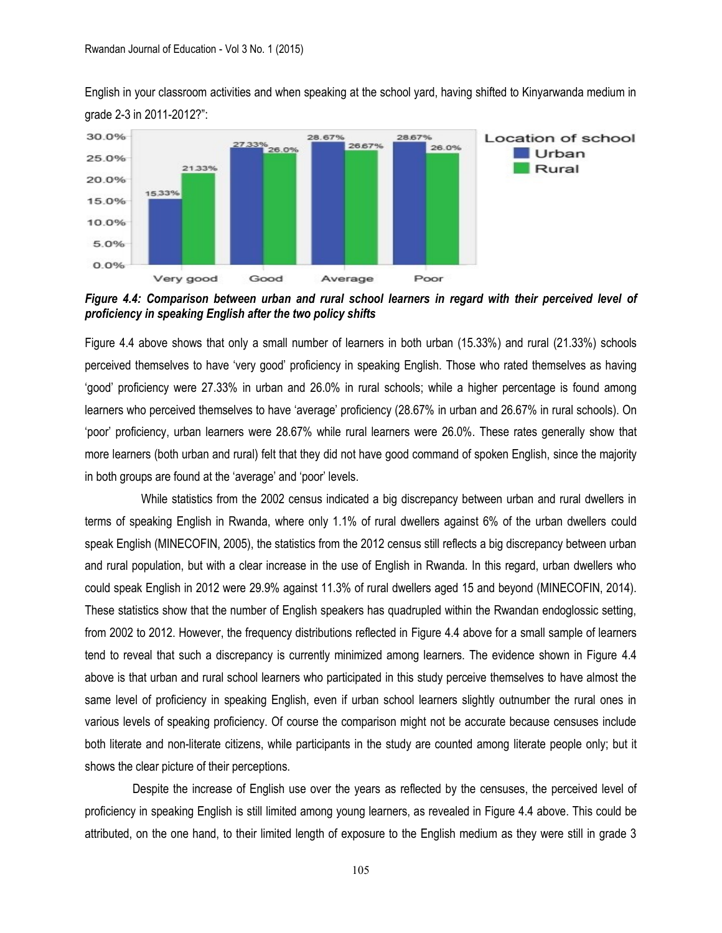English in your classroom activities and when speaking at the school yard, having shifted to Kinyarwanda medium in grade 2-3 in 2011-2012?":



*Figure 4.4: Comparison between urban and rural school learners in regard with their perceived level of proficiency in speaking English after the two policy shifts*

Figure 4.4 above shows that only a small number of learners in both urban (15.33%) and rural (21.33%) schools perceived themselves to have 'very good' proficiency in speaking English. Those who rated themselves as having 'good' proficiency were 27.33% in urban and 26.0% in rural schools; while a higher percentage is found among learners who perceived themselves to have 'average' proficiency (28.67% in urban and 26.67% in rural schools). On 'poor' proficiency, urban learners were 28.67% while rural learners were 26.0%. These rates generally show that more learners (both urban and rural) felt that they did not have good command of spoken English, since the majority in both groups are found at the 'average' and 'poor' levels.

 While statistics from the 2002 census indicated a big discrepancy between urban and rural dwellers in terms of speaking English in Rwanda, where only 1.1% of rural dwellers against 6% of the urban dwellers could speak English (MINECOFIN, 2005), the statistics from the 2012 census still reflects a big discrepancy between urban and rural population, but with a clear increase in the use of English in Rwanda. In this regard, urban dwellers who could speak English in 2012 were 29.9% against 11.3% of rural dwellers aged 15 and beyond (MINECOFIN, 2014). These statistics show that the number of English speakers has quadrupled within the Rwandan endoglossic setting, from 2002 to 2012. However, the frequency distributions reflected in Figure 4.4 above for a small sample of learners tend to reveal that such a discrepancy is currently minimized among learners. The evidence shown in Figure 4.4 above is that urban and rural school learners who participated in this study perceive themselves to have almost the same level of proficiency in speaking English, even if urban school learners slightly outnumber the rural ones in various levels of speaking proficiency. Of course the comparison might not be accurate because censuses include both literate and non-literate citizens, while participants in the study are counted among literate people only; but it shows the clear picture of their perceptions.

Despite the increase of English use over the years as reflected by the censuses, the perceived level of proficiency in speaking English is still limited among young learners, as revealed in Figure 4.4 above. This could be attributed, on the one hand, to their limited length of exposure to the English medium as they were still in grade 3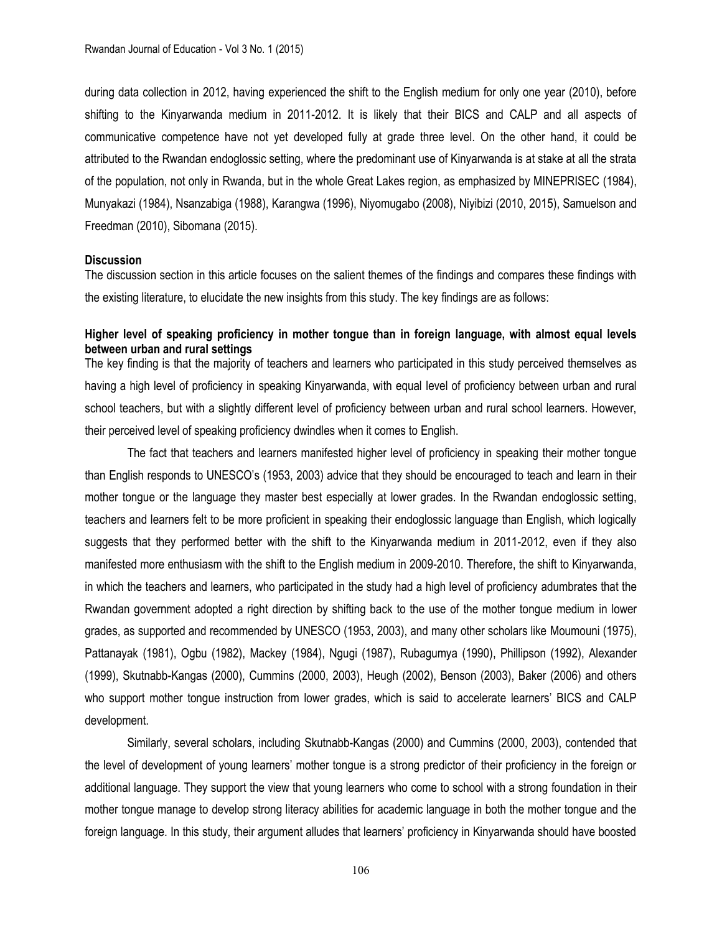during data collection in 2012, having experienced the shift to the English medium for only one year (2010), before shifting to the Kinyarwanda medium in 2011-2012. It is likely that their BICS and CALP and all aspects of communicative competence have not yet developed fully at grade three level. On the other hand, it could be attributed to the Rwandan endoglossic setting, where the predominant use of Kinyarwanda is at stake at all the strata of the population, not only in Rwanda, but in the whole Great Lakes region, as emphasized by MINEPRISEC (1984), Munyakazi (1984), Nsanzabiga (1988), Karangwa (1996), Niyomugabo (2008), Niyibizi (2010, 2015), Samuelson and Freedman (2010), Sibomana (2015).

### **Discussion**

The discussion section in this article focuses on the salient themes of the findings and compares these findings with the existing literature, to elucidate the new insights from this study. The key findings are as follows:

# **Higher level of speaking proficiency in mother tongue than in foreign language, with almost equal levels between urban and rural settings**

The key finding is that the majority of teachers and learners who participated in this study perceived themselves as having a high level of proficiency in speaking Kinyarwanda, with equal level of proficiency between urban and rural school teachers, but with a slightly different level of proficiency between urban and rural school learners. However, their perceived level of speaking proficiency dwindles when it comes to English.

The fact that teachers and learners manifested higher level of proficiency in speaking their mother tongue than English responds to UNESCO's (1953, 2003) advice that they should be encouraged to teach and learn in their mother tongue or the language they master best especially at lower grades. In the Rwandan endoglossic setting, teachers and learners felt to be more proficient in speaking their endoglossic language than English, which logically suggests that they performed better with the shift to the Kinyarwanda medium in 2011-2012, even if they also manifested more enthusiasm with the shift to the English medium in 2009-2010. Therefore, the shift to Kinyarwanda, in which the teachers and learners, who participated in the study had a high level of proficiency adumbrates that the Rwandan government adopted a right direction by shifting back to the use of the mother tongue medium in lower grades, as supported and recommended by UNESCO (1953, 2003), and many other scholars like Moumouni (1975), Pattanayak (1981), Ogbu (1982), Mackey (1984), Ngugi (1987), Rubagumya (1990), Phillipson (1992), Alexander (1999), Skutnabb-Kangas (2000), Cummins (2000, 2003), Heugh (2002), Benson (2003), Baker (2006) and others who support mother tongue instruction from lower grades, which is said to accelerate learners' BICS and CALP development.

Similarly, several scholars, including Skutnabb-Kangas (2000) and Cummins (2000, 2003), contended that the level of development of young learners' mother tongue is a strong predictor of their proficiency in the foreign or additional language. They support the view that young learners who come to school with a strong foundation in their mother tongue manage to develop strong literacy abilities for academic language in both the mother tongue and the foreign language. In this study, their argument alludes that learners' proficiency in Kinyarwanda should have boosted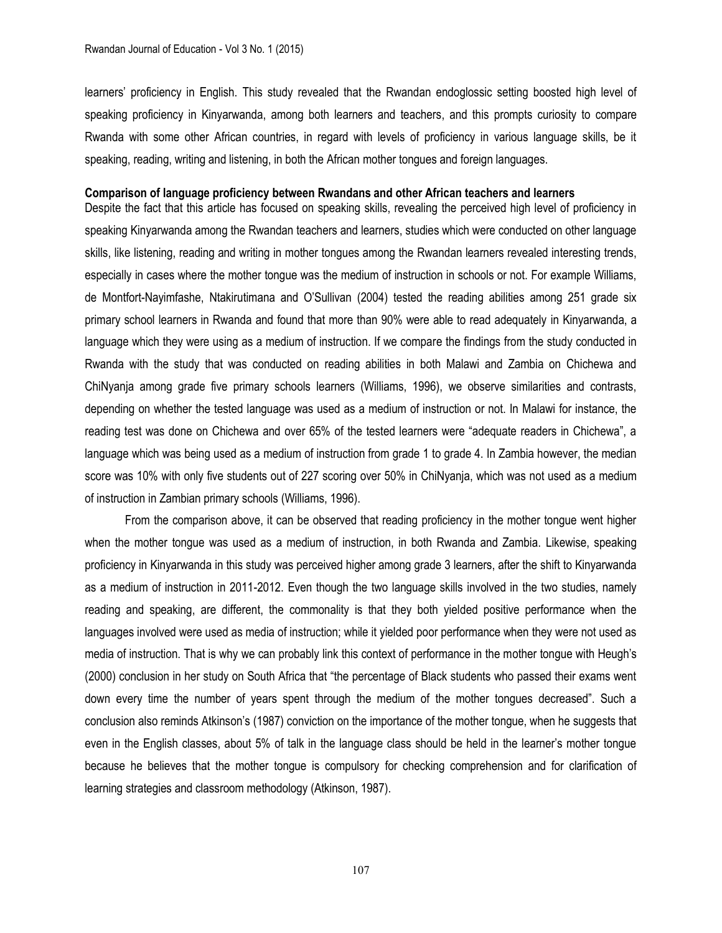learners' proficiency in English. This study revealed that the Rwandan endoglossic setting boosted high level of speaking proficiency in Kinyarwanda, among both learners and teachers, and this prompts curiosity to compare Rwanda with some other African countries, in regard with levels of proficiency in various language skills, be it speaking, reading, writing and listening, in both the African mother tongues and foreign languages.

### **Comparison of language proficiency between Rwandans and other African teachers and learners**

Despite the fact that this article has focused on speaking skills, revealing the perceived high level of proficiency in speaking Kinyarwanda among the Rwandan teachers and learners, studies which were conducted on other language skills, like listening, reading and writing in mother tongues among the Rwandan learners revealed interesting trends, especially in cases where the mother tongue was the medium of instruction in schools or not. For example Williams, de Montfort-Nayimfashe, Ntakirutimana and O'Sullivan (2004) tested the reading abilities among 251 grade six primary school learners in Rwanda and found that more than 90% were able to read adequately in Kinyarwanda, a language which they were using as a medium of instruction. If we compare the findings from the study conducted in Rwanda with the study that was conducted on reading abilities in both Malawi and Zambia on Chichewa and ChiNyanja among grade five primary schools learners (Williams, 1996), we observe similarities and contrasts, depending on whether the tested language was used as a medium of instruction or not. In Malawi for instance, the reading test was done on Chichewa and over 65% of the tested learners were "adequate readers in Chichewa", a language which was being used as a medium of instruction from grade 1 to grade 4. In Zambia however, the median score was 10% with only five students out of 227 scoring over 50% in ChiNyanja, which was not used as a medium of instruction in Zambian primary schools (Williams, 1996).

From the comparison above, it can be observed that reading proficiency in the mother tongue went higher when the mother tongue was used as a medium of instruction, in both Rwanda and Zambia. Likewise, speaking proficiency in Kinyarwanda in this study was perceived higher among grade 3 learners, after the shift to Kinyarwanda as a medium of instruction in 2011-2012. Even though the two language skills involved in the two studies, namely reading and speaking, are different, the commonality is that they both yielded positive performance when the languages involved were used as media of instruction; while it yielded poor performance when they were not used as media of instruction. That is why we can probably link this context of performance in the mother tongue with Heugh's (2000) conclusion in her study on South Africa that "the percentage of Black students who passed their exams went down every time the number of years spent through the medium of the mother tongues decreased". Such a conclusion also reminds Atkinson's (1987) conviction on the importance of the mother tongue, when he suggests that even in the English classes, about 5% of talk in the language class should be held in the learner's mother tongue because he believes that the mother tongue is compulsory for checking comprehension and for clarification of learning strategies and classroom methodology (Atkinson, 1987).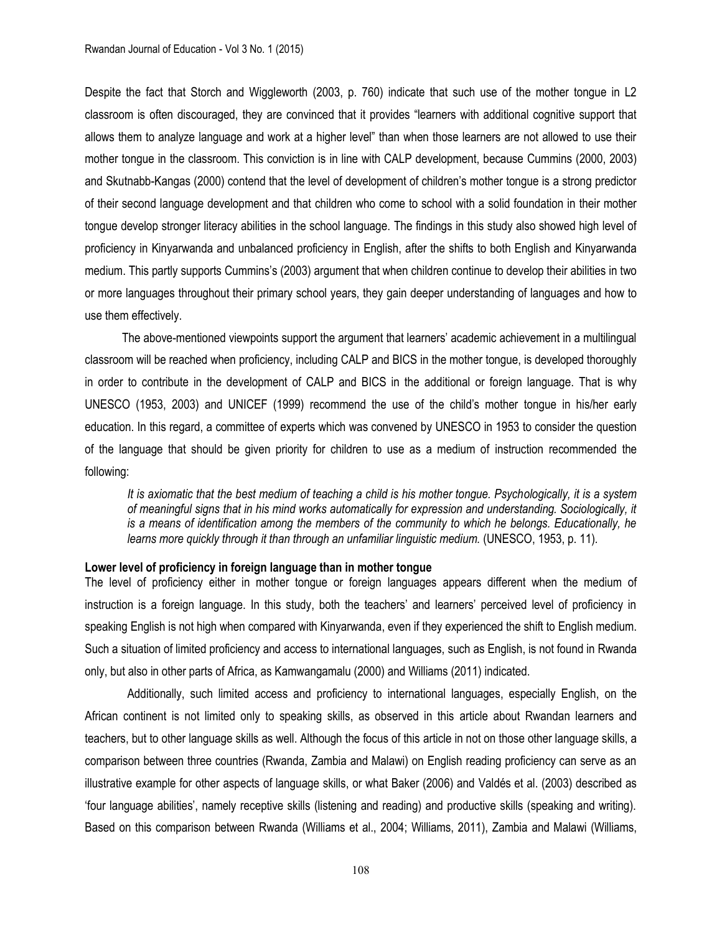Despite the fact that Storch and Wiggleworth (2003, p. 760) indicate that such use of the mother tongue in L2 classroom is often discouraged, they are convinced that it provides "learners with additional cognitive support that allows them to analyze language and work at a higher level" than when those learners are not allowed to use their mother tongue in the classroom. This conviction is in line with CALP development, because Cummins (2000, 2003) and Skutnabb-Kangas (2000) contend that the level of development of children's mother tongue is a strong predictor of their second language development and that children who come to school with a solid foundation in their mother tongue develop stronger literacy abilities in the school language. The findings in this study also showed high level of proficiency in Kinyarwanda and unbalanced proficiency in English, after the shifts to both English and Kinyarwanda medium. This partly supports Cummins's (2003) argument that when children continue to develop their abilities in two or more languages throughout their primary school years, they gain deeper understanding of languages and how to use them effectively.

The above-mentioned viewpoints support the argument that learners' academic achievement in a multilingual classroom will be reached when proficiency, including CALP and BICS in the mother tongue, is developed thoroughly in order to contribute in the development of CALP and BICS in the additional or foreign language. That is why UNESCO (1953, 2003) and UNICEF (1999) recommend the use of the child's mother tongue in his/her early education. In this regard, a committee of experts which was convened by UNESCO in 1953 to consider the question of the language that should be given priority for children to use as a medium of instruction recommended the following:

*It is axiomatic that the best medium of teaching a child is his mother tongue. Psychologically, it is a system of meaningful signs that in his mind works automatically for expression and understanding. Sociologically, it is a means of identification among the members of the community to which he belongs. Educationally, he learns more quickly through it than through an unfamiliar linguistic medium.* (UNESCO, 1953, p. 11)*.*

#### **Lower level of proficiency in foreign language than in mother tongue**

The level of proficiency either in mother tongue or foreign languages appears different when the medium of instruction is a foreign language. In this study, both the teachers' and learners' perceived level of proficiency in speaking English is not high when compared with Kinyarwanda, even if they experienced the shift to English medium. Such a situation of limited proficiency and access to international languages, such as English, is not found in Rwanda only, but also in other parts of Africa, as Kamwangamalu (2000) and Williams (2011) indicated.

Additionally, such limited access and proficiency to international languages, especially English, on the African continent is not limited only to speaking skills, as observed in this article about Rwandan learners and teachers, but to other language skills as well. Although the focus of this article in not on those other language skills, a comparison between three countries (Rwanda, Zambia and Malawi) on English reading proficiency can serve as an illustrative example for other aspects of language skills, or what Baker (2006) and Valdés et al. (2003) described as 'four language abilities', namely receptive skills (listening and reading) and productive skills (speaking and writing). Based on this comparison between Rwanda (Williams et al., 2004; Williams, 2011), Zambia and Malawi (Williams,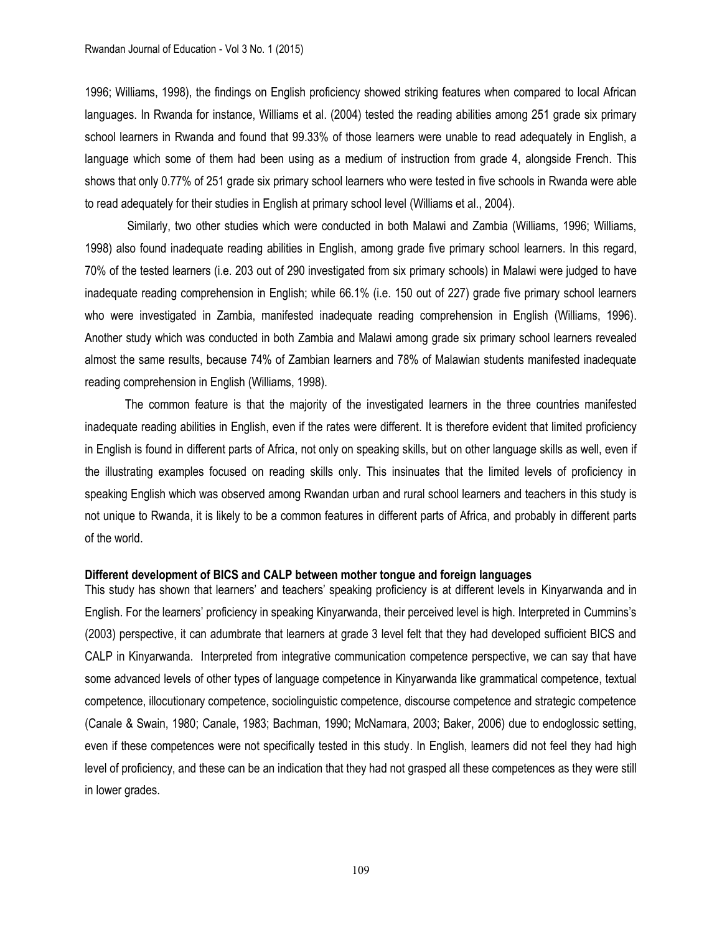1996; Williams, 1998), the findings on English proficiency showed striking features when compared to local African languages. In Rwanda for instance, Williams et al. (2004) tested the reading abilities among 251 grade six primary school learners in Rwanda and found that 99.33% of those learners were unable to read adequately in English, a language which some of them had been using as a medium of instruction from grade 4, alongside French. This shows that only 0.77% of 251 grade six primary school learners who were tested in five schools in Rwanda were able to read adequately for their studies in English at primary school level (Williams et al., 2004).

Similarly, two other studies which were conducted in both Malawi and Zambia (Williams, 1996; Williams, 1998) also found inadequate reading abilities in English, among grade five primary school learners. In this regard, 70% of the tested learners (i.e. 203 out of 290 investigated from six primary schools) in Malawi were judged to have inadequate reading comprehension in English; while 66.1% (i.e. 150 out of 227) grade five primary school learners who were investigated in Zambia, manifested inadequate reading comprehension in English (Williams, 1996). Another study which was conducted in both Zambia and Malawi among grade six primary school learners revealed almost the same results, because 74% of Zambian learners and 78% of Malawian students manifested inadequate reading comprehension in English (Williams, 1998).

The common feature is that the majority of the investigated learners in the three countries manifested inadequate reading abilities in English, even if the rates were different. It is therefore evident that limited proficiency in English is found in different parts of Africa, not only on speaking skills, but on other language skills as well, even if the illustrating examples focused on reading skills only. This insinuates that the limited levels of proficiency in speaking English which was observed among Rwandan urban and rural school learners and teachers in this study is not unique to Rwanda, it is likely to be a common features in different parts of Africa, and probably in different parts of the world.

#### **Different development of BICS and CALP between mother tongue and foreign languages**

This study has shown that learners' and teachers' speaking proficiency is at different levels in Kinyarwanda and in English. For the learners' proficiency in speaking Kinyarwanda, their perceived level is high. Interpreted in Cummins's (2003) perspective, it can adumbrate that learners at grade 3 level felt that they had developed sufficient BICS and CALP in Kinyarwanda. Interpreted from integrative communication competence perspective, we can say that have some advanced levels of other types of language competence in Kinyarwanda like grammatical competence, textual competence, illocutionary competence, sociolinguistic competence, discourse competence and strategic competence (Canale & Swain, 1980; Canale, 1983; Bachman, 1990; McNamara, 2003; Baker, 2006) due to endoglossic setting, even if these competences were not specifically tested in this study. In English, learners did not feel they had high level of proficiency, and these can be an indication that they had not grasped all these competences as they were still in lower grades.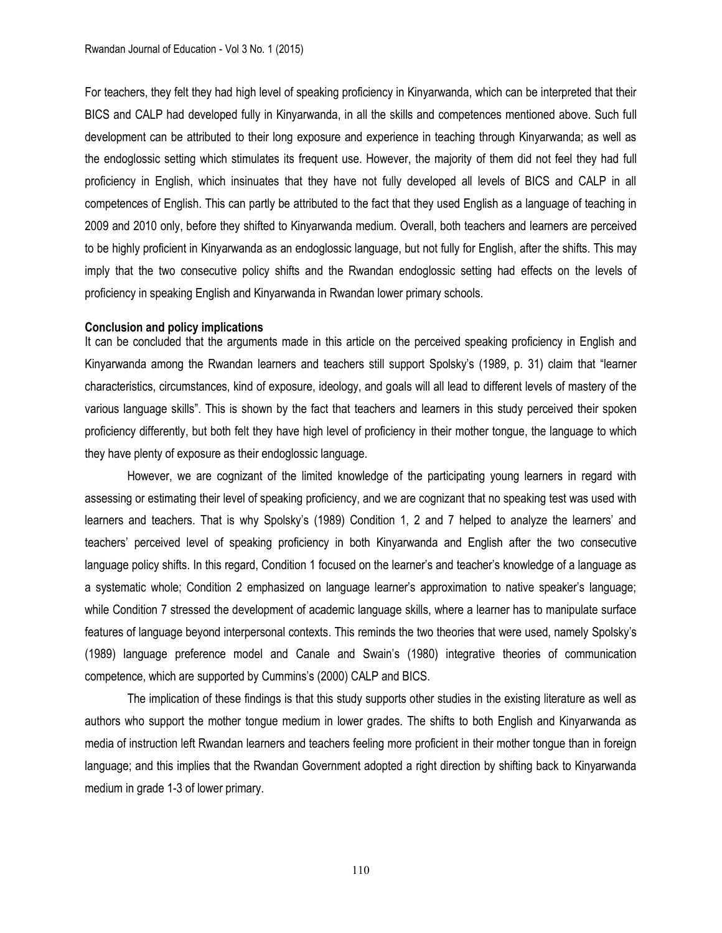For teachers, they felt they had high level of speaking proficiency in Kinyarwanda, which can be interpreted that their BICS and CALP had developed fully in Kinyarwanda, in all the skills and competences mentioned above. Such full development can be attributed to their long exposure and experience in teaching through Kinyarwanda; as well as the endoglossic setting which stimulates its frequent use. However, the majority of them did not feel they had full proficiency in English, which insinuates that they have not fully developed all levels of BICS and CALP in all competences of English. This can partly be attributed to the fact that they used English as a language of teaching in 2009 and 2010 only, before they shifted to Kinyarwanda medium. Overall, both teachers and learners are perceived to be highly proficient in Kinyarwanda as an endoglossic language, but not fully for English, after the shifts. This may imply that the two consecutive policy shifts and the Rwandan endoglossic setting had effects on the levels of proficiency in speaking English and Kinyarwanda in Rwandan lower primary schools.

#### **Conclusion and policy implications**

It can be concluded that the arguments made in this article on the perceived speaking proficiency in English and Kinyarwanda among the Rwandan learners and teachers still support Spolsky's (1989, p. 31) claim that "learner characteristics, circumstances, kind of exposure, ideology, and goals will all lead to different levels of mastery of the various language skills". This is shown by the fact that teachers and learners in this study perceived their spoken proficiency differently, but both felt they have high level of proficiency in their mother tongue, the language to which they have plenty of exposure as their endoglossic language.

However, we are cognizant of the limited knowledge of the participating young learners in regard with assessing or estimating their level of speaking proficiency, and we are cognizant that no speaking test was used with learners and teachers. That is why Spolsky's (1989) Condition 1, 2 and 7 helped to analyze the learners' and teachers' perceived level of speaking proficiency in both Kinyarwanda and English after the two consecutive language policy shifts. In this regard, Condition 1 focused on the learner's and teacher's knowledge of a language as a systematic whole; Condition 2 emphasized on language learner's approximation to native speaker's language; while Condition 7 stressed the development of academic language skills, where a learner has to manipulate surface features of language beyond interpersonal contexts. This reminds the two theories that were used, namely Spolsky's (1989) language preference model and Canale and Swain's (1980) integrative theories of communication competence, which are supported by Cummins's (2000) CALP and BICS.

The implication of these findings is that this study supports other studies in the existing literature as well as authors who support the mother tongue medium in lower grades. The shifts to both English and Kinyarwanda as media of instruction left Rwandan learners and teachers feeling more proficient in their mother tongue than in foreign language; and this implies that the Rwandan Government adopted a right direction by shifting back to Kinyarwanda medium in grade 1-3 of lower primary.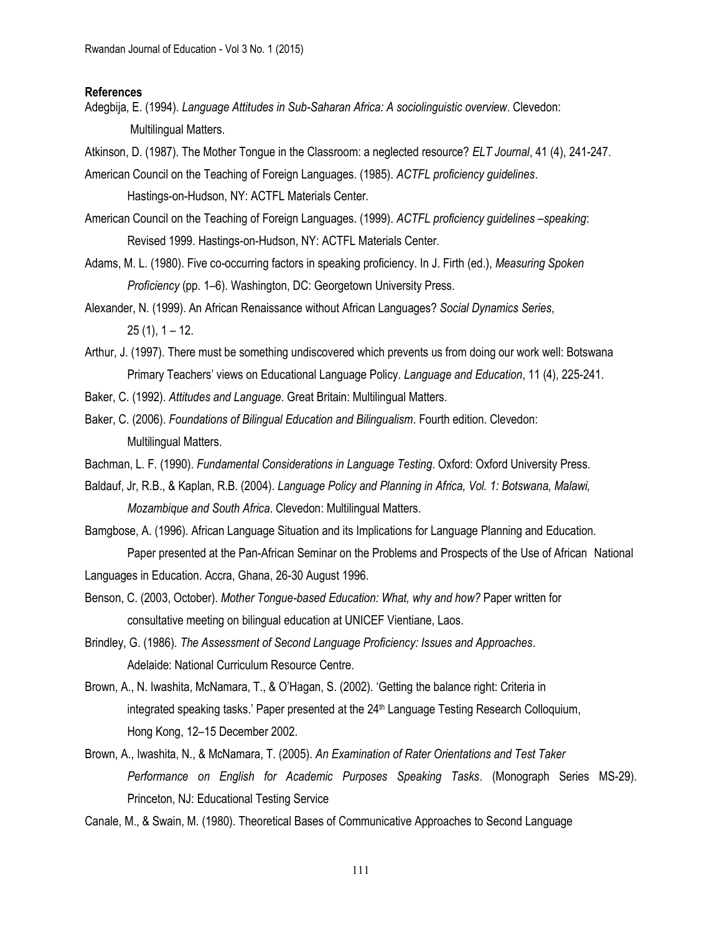### **References**

Adegbija, E. (1994). *Language Attitudes in Sub-Saharan Africa: A sociolinguistic overview*. Clevedon: Multilingual Matters.

Atkinson, D. (1987). The Mother Tongue in the Classroom: a neglected resource? *ELT Journal*, 41 (4), 241-247.

American Council on the Teaching of Foreign Languages. (1985). *ACTFL proficiency guidelines*. Hastings-on-Hudson, NY: ACTFL Materials Center.

American Council on the Teaching of Foreign Languages. (1999). *ACTFL proficiency guidelines –speaking*: Revised 1999. Hastings-on-Hudson, NY: ACTFL Materials Center.

- Adams, M. L. (1980). Five co-occurring factors in speaking proficiency. In J. Firth (ed.), *Measuring Spoken Proficiency* (pp. 1–6). Washington, DC: Georgetown University Press.
- Alexander, N. (1999). An African Renaissance without African Languages? *Social Dynamics Series*,  $25(1), 1 - 12.$
- Arthur, J. (1997). There must be something undiscovered which prevents us from doing our work well: Botswana Primary Teachers' views on Educational Language Policy. *Language and Education*, 11 (4), 225-241.

Baker, C. (1992). *Attitudes and Language*. Great Britain: Multilingual Matters.

- Baker, C. (2006). *Foundations of Bilingual Education and Bilingualism*. Fourth edition. Clevedon: Multilingual Matters.
- Bachman, L. F. (1990). *Fundamental Considerations in Language Testing*. Oxford: Oxford University Press.
- Baldauf, Jr, R.B., & Kaplan, R.B. (2004). *Language Policy and Planning in Africa, Vol. 1: Botswana, Malawi, Mozambique and South Africa*. Clevedon: Multilingual Matters.
- Bamgbose, A. (1996). African Language Situation and its Implications for Language Planning and Education. Paper presented at the Pan-African Seminar on the Problems and Prospects of the Use of African National

Languages in Education. Accra, Ghana, 26-30 August 1996.

- Benson, C. (2003, October). *Mother Tongue-based Education: What, why and how?* Paper written for consultative meeting on bilingual education at UNICEF Vientiane, Laos.
- Brindley, G. (1986). *The Assessment of Second Language Proficiency: Issues and Approaches*. Adelaide: National Curriculum Resource Centre.
- Brown, A., N. Iwashita, McNamara, T., & O'Hagan, S. (2002). 'Getting the balance right: Criteria in integrated speaking tasks.' Paper presented at the 24<sup>th</sup> Language Testing Research Colloquium, Hong Kong, 12–15 December 2002.
- Brown, A., Iwashita, N., & McNamara, T. (2005). *An Examination of Rater Orientations and Test Taker Performance on English for Academic Purposes Speaking Tasks*. (Monograph Series MS-29). Princeton, NJ: Educational Testing Service
- Canale, M., & Swain, M. (1980). Theoretical Bases of Communicative Approaches to Second Language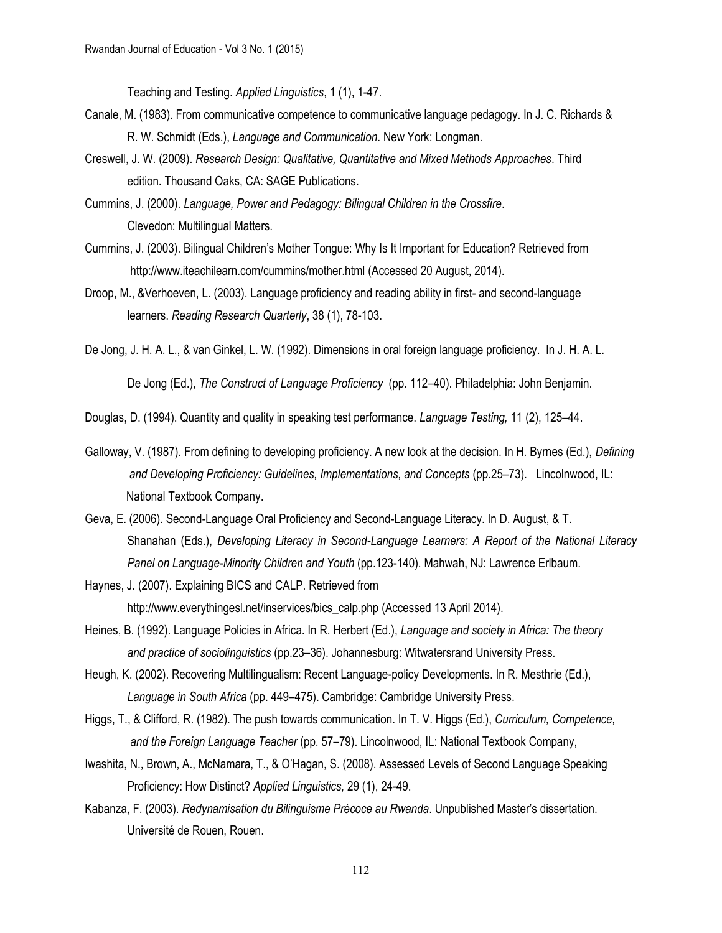Teaching and Testing. *Applied Linguistics*, 1 (1), 1-47.

- Canale, M. (1983). From communicative competence to communicative language pedagogy. In J. C. Richards & R. W. Schmidt (Eds.), *Language and Communication*. New York: Longman.
- Creswell, J. W. (2009). *Research Design: Qualitative, Quantitative and Mixed Methods Approaches*. Third edition. Thousand Oaks, CA: SAGE Publications.

Cummins, J. (2000). *Language, Power and Pedagogy: Bilingual Children in the Crossfire*. Clevedon: Multilingual Matters.

- Cummins, J. (2003). Bilingual Children's Mother Tongue: Why Is It Important for Education? Retrieved from <http://www.iteachilearn.com/cummins/mother.html> (Accessed 20 August, 2014).
- Droop, M., &Verhoeven, L. (2003). Language proficiency and reading ability in first- and second-language learners. *Reading Research Quarterly*, 38 (1), 78-103.

De Jong, J. H. A. L., & van Ginkel, L. W. (1992). Dimensions in oral foreign language proficiency. In J. H. A. L.

De Jong (Ed.), *The Construct of Language Proficiency* (pp. 112–40). Philadelphia: John Benjamin.

Douglas, D. (1994). Quantity and quality in speaking test performance. *Language Testing,* 11 (2), 125–44.

- Galloway, V. (1987). From defining to developing proficiency. A new look at the decision. In H. Byrnes (Ed.), *Defining and Developing Proficiency: Guidelines, Implementations, and Concepts* (pp.25–73). Lincolnwood, IL: National Textbook Company.
- Geva, E. (2006). Second-Language Oral Proficiency and Second-Language Literacy. In D. August, & T. Shanahan (Eds.), *Developing Literacy in Second-Language Learners: A Report of the National Literacy Panel on Language-Minority Children and Youth* (pp.123-140). Mahwah, NJ: Lawrence Erlbaum.
- Haynes, J. (2007). Explaining BICS and CALP. Retrieved from [http://www.everythingesl.net/inservices/bics\\_calp.php](http://www.everythingesl.net/inservices/bics_calp.php) (Accessed 13 April 2014).
- Heines, B. (1992). Language Policies in Africa. In R. Herbert (Ed.), *Language and society in Africa: The theory and practice of sociolinguistics* (pp.23–36). Johannesburg: Witwatersrand University Press.
- Heugh, K. (2002). Recovering Multilingualism: Recent Language-policy Developments. In R. Mesthrie (Ed.), *Language in South Africa* (pp. 449–475). Cambridge: Cambridge University Press.
- Higgs, T., & Clifford, R. (1982). The push towards communication. In T. V. Higgs (Ed.), *Curriculum, Competence, and the Foreign Language Teacher* (pp. 57–79). Lincolnwood, IL: National Textbook Company,
- Iwashita, N., Brown, A., McNamara, T., & O'Hagan, S. (2008). Assessed Levels of Second Language Speaking Proficiency: How Distinct? *Applied Linguistics,* 29 (1), 24-49.
- Kabanza, F. (2003). *Redynamisation du Bilinguisme Précoce au Rwanda*. Unpublished Master's dissertation. Université de Rouen, Rouen.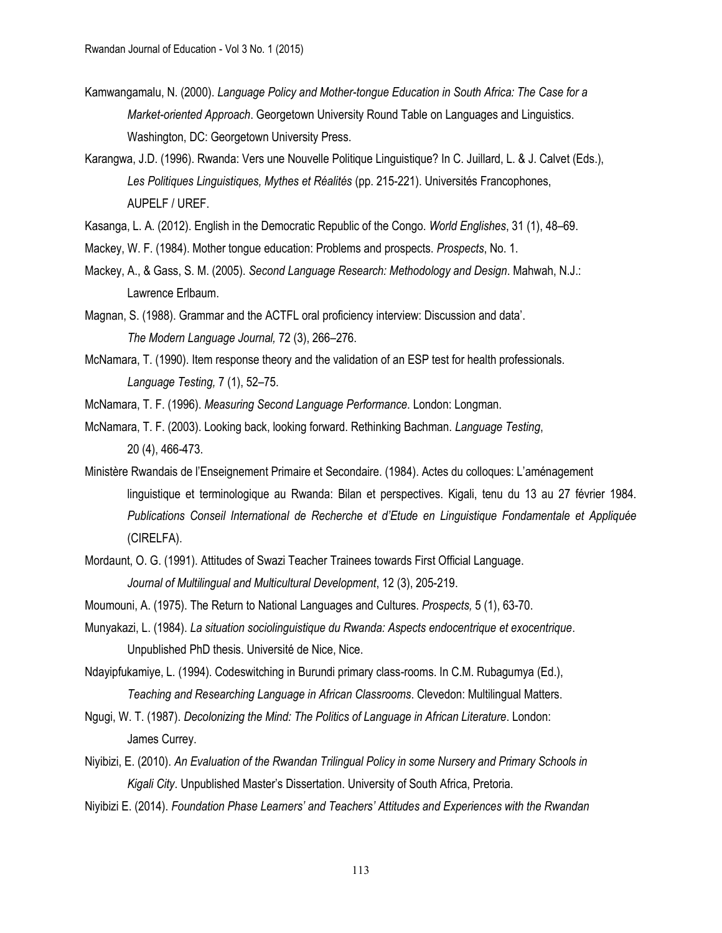- Kamwangamalu, N. (2000). *Language Policy and Mother-tongue Education in South Africa: The Case for a Market-oriented Approach*. Georgetown University Round Table on Languages and Linguistics. Washington, DC: Georgetown University Press.
- Karangwa, J.D. (1996). Rwanda: Vers une Nouvelle Politique Linguistique? In C. Juillard, L. & J. Calvet (Eds.), *Les Politiques Linguistiques, Mythes et Réalités* (pp. 215-221). Universités Francophones, AUPELF / UREF.
- Kasanga, L. A. (2012). English in the Democratic Republic of the Congo. *World Englishes*, 31 (1), 48–69.
- Mackey, W. F. (1984). Mother tongue education: Problems and prospects. *Prospects*, No. 1.
- Mackey, A., & Gass, S. M. (2005). *Second Language Research: Methodology and Design*. Mahwah, N.J.: Lawrence Erlbaum.
- Magnan, S. (1988). Grammar and the ACTFL oral proficiency interview: Discussion and data'. *The Modern Language Journal,* 72 (3), 266–276.
- McNamara, T. (1990). Item response theory and the validation of an ESP test for health professionals. *Language Testing,* 7 (1), 52–75.
- McNamara, T. F. (1996). *Measuring Second Language Performance*. London: Longman.
- McNamara, T. F. (2003). Looking back, looking forward. Rethinking Bachman. *Language Testing*, 20 (4), 466-473.
- Ministère Rwandais de l'Enseignement Primaire et Secondaire. (1984). Actes du colloques: L'aménagement linguistique et terminologique au Rwanda: Bilan et perspectives. Kigali, tenu du 13 au 27 février 1984. *Publications Conseil International de Recherche et d'Etude en Linguistique Fondamentale et Appliquée* (CIRELFA).
- [Mordaunt, O. G.](http://www.eric.ed.gov/ERICWebPortal/search/simpleSearch.jsp;jsessionid=D6f2Xlg+HeG-xmvlEX7UPg__.ericsrv002?_pageLabel=ERICSearchResult&_urlType=action&newSearch=true&ERICExtSearch_SearchType_0=au&ERICExtSearch_SearchValue_0=%22Mordaunt+Owen+Glen%22) (1991). Attitudes of Swazi Teacher Trainees towards First Official Language. *Journal of Multilingual and Multicultural Development*, 12 (3), 205-219.
- Moumouni, A. (1975). The Return to National Languages and Cultures. *Prospects,* 5 (1), 63-70.
- Munyakazi, L. (1984). *La situation sociolinguistique du Rwanda: Aspects endocentrique et exocentrique*. Unpublished PhD thesis. Université de Nice, Nice.
- Ndayipfukamiye, L. (1994). Codeswitching in Burundi primary class-rooms. In C.M. Rubagumya (Ed.), *Teaching and Researching Language in African Classrooms*. Clevedon: Multilingual Matters.
- Ngugi, W. T. (1987). *Decolonizing the Mind: The Politics of Language in African Literature*. London: James Currey.
- Niyibizi, E. (2010). *An Evaluation of the Rwandan Trilingual Policy in some Nursery and Primary Schools in Kigali City*. Unpublished Master's Dissertation. University of South Africa, Pretoria.
- Niyibizi E. (2014). *Foundation Phase Learners' and Teachers' Attitudes and Experiences with the Rwandan*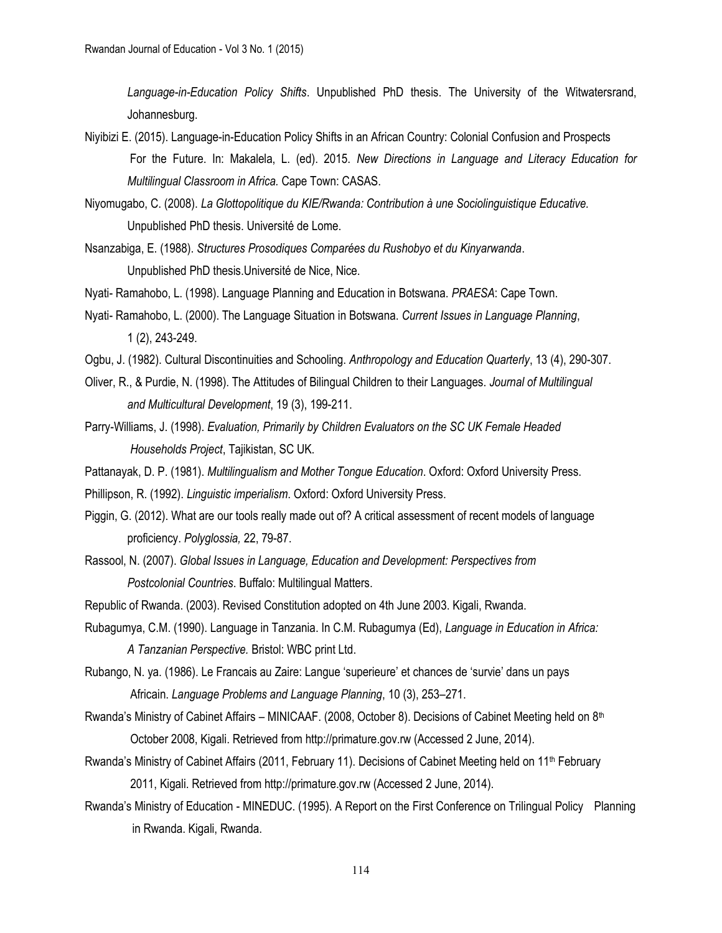*Language-in-Education Policy Shifts*. Unpublished PhD thesis. The University of the Witwatersrand, Johannesburg.

Niyibizi E. (2015). Language-in-Education Policy Shifts in an African Country: Colonial Confusion and Prospects For the Future. In: Makalela, L. (ed). 2015. *New Directions in Language and Literacy Education for Multilingual Classroom in Africa.* Cape Town: CASAS.

Niyomugabo, C. (2008). *La Glottopolitique du KIE/Rwanda: Contribution à une Sociolinguistique Educative.* Unpublished PhD thesis. Université de Lome.

- Nsanzabiga, E. (1988). *Structures Prosodiques Comparées du Rushobyo et du Kinyarwanda*. Unpublished PhD thesis.Université de Nice, Nice.
- Nyati- Ramahobo, L. (1998). Language Planning and Education in Botswana. *PRAESA*: Cape Town.
- Nyati- Ramahobo, L. (2000). The Language Situation in Botswana. *Current Issues in Language Planning*, 1 (2), 243-249.
- Ogbu, J. (1982). Cultural Discontinuities and Schooling. *Anthropology and Education Quarterly*, 13 (4), 290-307.
- Oliver, R., & Purdie, N. (1998). The Attitudes of Bilingual Children to their Languages. *Journal of Multilingual and Multicultural Development*, 19 (3), 199-211.
- Parry-Williams, J. (1998). *Evaluation, Primarily by Children Evaluators on the SC UK Female Headed Households Project*, Tajikistan, SC UK.
- Pattanayak, D. P. (1981). *Multilingualism and Mother Tongue Education*. Oxford: Oxford University Press.
- Phillipson, R. (1992). *Linguistic imperialism*. Oxford: Oxford University Press.
- Piggin, G. (2012). What are our tools really made out of? A critical assessment of recent models of language proficiency. *Polyglossia,* 22, 79-87.
- Rassool, N. (2007). *Global Issues in Language, Education and Development: Perspectives from Postcolonial Countries*. Buffalo: Multilingual Matters.
- Republic of Rwanda. (2003). Revised Constitution adopted on 4th June 2003. Kigali, Rwanda.
- Rubagumya, C.M. (1990). Language in Tanzania. In C.M. Rubagumya (Ed), *Language in Education in Africa: A Tanzanian Perspective.* Bristol: WBC print Ltd.
- Rubango, N. ya. (1986). Le Francais au Zaire: Langue 'superieure' et chances de 'survie' dans un pays Africain. *Language Problems and Language Planning*, 10 (3), 253–271.
- Rwanda's Ministry of Cabinet Affairs MINICAAF. (2008, October 8). Decisions of Cabinet Meeting held on 8th October 2008, Kigali. Retrieved from [http://primature.gov.rw](http://primature.gov.rw/) (Accessed 2 June, 2014).
- Rwanda's Ministry of Cabinet Affairs (2011, February 11). Decisions of Cabinet Meeting held on 11<sup>th</sup> February 2011, Kigali. Retrieved from [http://primature.gov.rw](http://primature.gov.rw/) (Accessed 2 June, 2014).
- Rwanda's Ministry of Education MINEDUC. (1995). A Report on the First Conference on Trilingual Policy Planning in Rwanda. Kigali, Rwanda.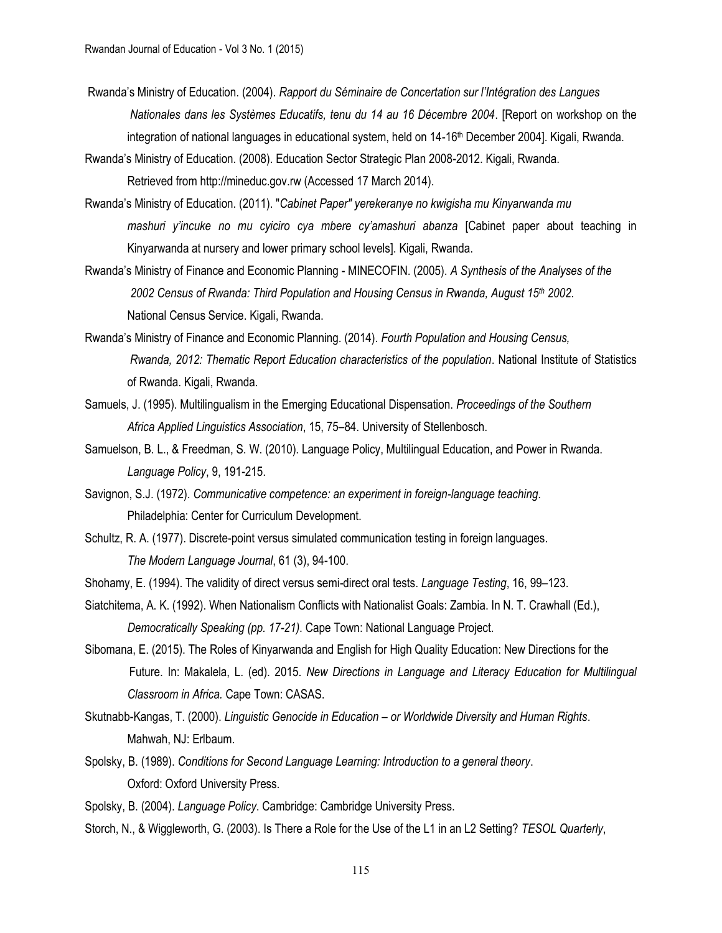- Rwanda's Ministry of Education. (2004). *Rapport du Séminaire de Concertation sur l'Intégration des Langues Nationales dans les Systèmes Educatifs, tenu du 14 au 16 Décembre 2004*. [Report on workshop on the integration of national languages in educational system, held on 14-16<sup>th</sup> December 2004]. Kigali, Rwanda.
- Rwanda's Ministry of Education. (2008). Education Sector Strategic Plan 2008-2012. Kigali, Rwanda. Retrieved fro[m http://mineduc.gov.rw](http://mineduc.gov.rw/) (Accessed 17 March 2014).
- Rwanda's Ministry of Education. (2011). "*Cabinet Paper" yerekeranye no kwigisha mu Kinyarwanda mu mashuri y'incuke no mu cyiciro cya mbere cy'amashuri abanza* [Cabinet paper about teaching in Kinyarwanda at nursery and lower primary school levels]. Kigali, Rwanda.
- Rwanda's Ministry of Finance and Economic Planning MINECOFIN. (2005). *A Synthesis of the Analyses of the 2002 Census of Rwanda: Third Population and Housing Census in Rwanda, August 15th 2002*. National Census Service. Kigali, Rwanda.
- Rwanda's Ministry of Finance and Economic Planning. (2014). *Fourth Population and Housing Census, Rwanda, 2012: Thematic Report Education characteristics of the population*. National Institute of Statistics of Rwanda. Kigali, Rwanda.
- Samuels, J. (1995). Multilingualism in the Emerging Educational Dispensation. *Proceedings of the Southern Africa Applied Linguistics Association*, 15, 75–84. University of Stellenbosch.
- Samuelson, B. L., & Freedman, S. W. (2010). Language Policy, Multilingual Education, and Power in Rwanda. *Language Policy*, 9, 191-215.
- Savignon, S.J. (1972). *Communicative competence: an experiment in foreign-language teaching*. Philadelphia: Center for Curriculum Development.
- Schultz, R. A. (1977). Discrete-point versus simulated communication testing in foreign languages. *The Modern Language Journal*, 61 (3), 94-100.
- Shohamy, E. (1994). The validity of direct versus semi-direct oral tests. *Language Testing*, 16, 99–123.
- Siatchitema, A. K. (1992). When Nationalism Conflicts with Nationalist Goals: Zambia. In N. T. Crawhall (Ed.), *Democratically Speaking (pp. 17-21)*. Cape Town: National Language Project.
- Sibomana, E. (2015). The Roles of Kinyarwanda and English for High Quality Education: New Directions for the Future. In: Makalela, L. (ed). 2015. *New Directions in Language and Literacy Education for Multilingual Classroom in Africa.* Cape Town: CASAS.
- Skutnabb-Kangas, T. (2000). *Linguistic Genocide in Education – or Worldwide Diversity and Human Rights*. Mahwah, NJ: Erlbaum.
- Spolsky, B. (1989). *Conditions for Second Language Learning: Introduction to a general theory*. Oxford: Oxford University Press.
- Spolsky, B. (2004). *Language Policy*. Cambridge: Cambridge University Press.
- Storch, N., & Wiggleworth, G. (2003). Is There a Role for the Use of the L1 in an L2 Setting? *TESOL Quarterly*,